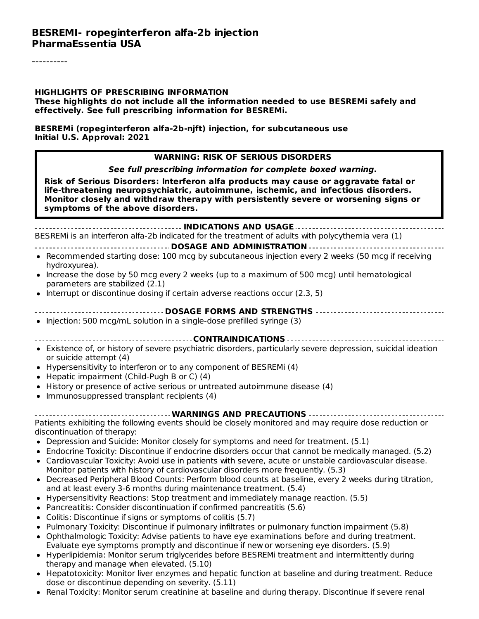#### **HIGHLIGHTS OF PRESCRIBING INFORMATION**

**These highlights do not include all the information needed to use BESREMi safely and effectively. See full prescribing information for BESREMi.**

**BESREMi (ropeginterferon alfa-2b-njft) injection, for subcutaneous use Initial U.S. Approval: 2021**

#### **WARNING: RISK OF SERIOUS DISORDERS**

**See full prescribing information for complete boxed warning.**

**Risk of Serious Disorders: Interferon alfa products may cause or aggravate fatal or life-threatening neuropsychiatric, autoimmune, ischemic, and infectious disorders. Monitor closely and withdraw therapy with persistently severe or worsening signs or symptoms of the above disorders.**

**INDICATIONS AND USAGE** BESREMi is an interferon alfa-2b indicated for the treatment of adults with polycythemia vera (1)

#### **DOSAGE AND ADMINISTRATION**

- Recommended starting dose: 100 mcg by subcutaneous injection every 2 weeks (50 mcg if receiving hydroxyurea).
- Increase the dose by 50 mcg every 2 weeks (up to a maximum of 500 mcg) until hematological parameters are stabilized (2.1)
- Interrupt or discontinue dosing if certain adverse reactions occur (2.3, 5)  $\bullet$

#### **DOSAGE FORMS AND STRENGTHS**

- $\bullet$  Injection: 500 mcg/mL solution in a single-dose prefilled syringe (3)
- **CONTRAINDICATIONS**
- Existence of, or history of severe psychiatric disorders, particularly severe depression, suicidal ideation or suicide attempt (4)
- Hypersensitivity to interferon or to any component of BESREMi (4)
- Hepatic impairment (Child-Pugh B or C) (4)
- History or presence of active serious or untreated autoimmune disease (4)
- Immunosuppressed transplant recipients (4)

#### **WARNINGS AND PRECAUTIONS**

Patients exhibiting the following events should be closely monitored and may require dose reduction or discontinuation of therapy:

- Depression and Suicide: Monitor closely for symptoms and need for treatment. (5.1)
- Endocrine Toxicity: Discontinue if endocrine disorders occur that cannot be medically managed. (5.2)
- Cardiovascular Toxicity: Avoid use in patients with severe, acute or unstable cardiovascular disease. Monitor patients with history of cardiovascular disorders more frequently. (5.3)
- Decreased Peripheral Blood Counts: Perform blood counts at baseline, every 2 weeks during titration,  $\bullet$ and at least every 3-6 months during maintenance treatment. (5.4)
- Hypersensitivity Reactions: Stop treatment and immediately manage reaction. (5.5)
- Pancreatitis: Consider discontinuation if confirmed pancreatitis (5.6)
- Colitis: Discontinue if signs or symptoms of colitis (5.7)
- Pulmonary Toxicity: Discontinue if pulmonary infiltrates or pulmonary function impairment (5.8)
- Ophthalmologic Toxicity: Advise patients to have eye examinations before and during treatment. Evaluate eye symptoms promptly and discontinue if new or worsening eye disorders. (5.9)
- Hyperlipidemia: Monitor serum triglycerides before BESREMi treatment and intermittently during therapy and manage when elevated. (5.10)
- Hepatotoxicity: Monitor liver enzymes and hepatic function at baseline and during treatment. Reduce  $\bullet$ dose or discontinue depending on severity. (5.11)
- Renal Toxicity: Monitor serum creatinine at baseline and during therapy. Discontinue if severe renal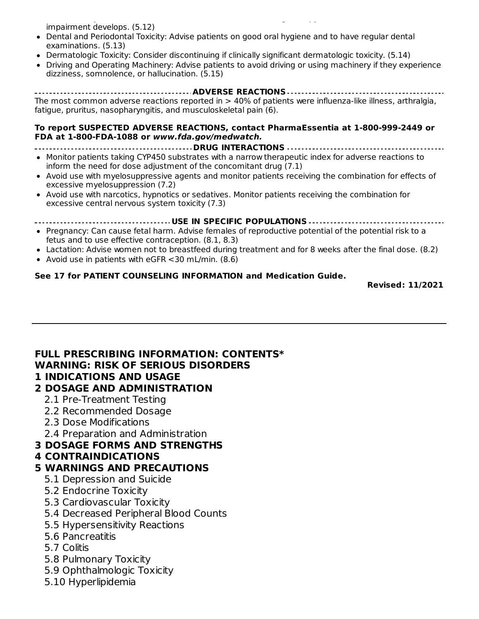Renal Toxicity: Monitor serum creatinine at baseline and during therapy. Discontinue if severe renal impairment develops. (5.12)

- Dental and Periodontal Toxicity: Advise patients on good oral hygiene and to have regular dental examinations. (5.13)
- Dermatologic Toxicity: Consider discontinuing if clinically significant dermatologic toxicity. (5.14)
- Driving and Operating Machinery: Advise patients to avoid driving or using machinery if they experience dizziness, somnolence, or hallucination. (5.15)

**ADVERSE REACTIONS** The most common adverse reactions reported in > 40% of patients were influenza-like illness, arthralgia, fatigue, pruritus, nasopharyngitis, and musculoskeletal pain (6).

#### **To report SUSPECTED ADVERSE REACTIONS, contact PharmaEssentia at 1-800-999-2449 or FDA at 1-800-FDA-1088 or www.fda.gov/medwatch.**

- **DRUG INTERACTIONS** Monitor patients taking CYP450 substrates with a narrow therapeutic index for adverse reactions to
- inform the need for dose adjustment of the concomitant drug (7.1) Avoid use with myelosuppressive agents and monitor patients receiving the combination for effects of excessive myelosuppression (7.2)
- Avoid use with narcotics, hypnotics or sedatives. Monitor patients receiving the combination for excessive central nervous system toxicity (7.3)

**USE IN SPECIFIC POPULATIONS**

- Pregnancy: Can cause fetal harm. Advise females of reproductive potential of the potential risk to a fetus and to use effective contraception. (8.1, 8.3)
- Lactation: Advise women not to breastfeed during treatment and for 8 weeks after the final dose. (8.2)
- Avoid use in patients with eGFR <30 mL/min. (8.6)

#### **See 17 for PATIENT COUNSELING INFORMATION and Medication Guide.**

**Revised: 11/2021**

### **FULL PRESCRIBING INFORMATION: CONTENTS\* WARNING: RISK OF SERIOUS DISORDERS**

#### **1 INDICATIONS AND USAGE**

### **2 DOSAGE AND ADMINISTRATION**

- 2.1 Pre-Treatment Testing
- 2.2 Recommended Dosage
- 2.3 Dose Modifications
- 2.4 Preparation and Administration
- **3 DOSAGE FORMS AND STRENGTHS**

### **4 CONTRAINDICATIONS**

### **5 WARNINGS AND PRECAUTIONS**

- 5.1 Depression and Suicide
- 5.2 Endocrine Toxicity
- 5.3 Cardiovascular Toxicity
- 5.4 Decreased Peripheral Blood Counts
- 5.5 Hypersensitivity Reactions
- 5.6 Pancreatitis
- 5.7 Colitis
- 5.8 Pulmonary Toxicity
- 5.9 Ophthalmologic Toxicity
- 5.10 Hyperlipidemia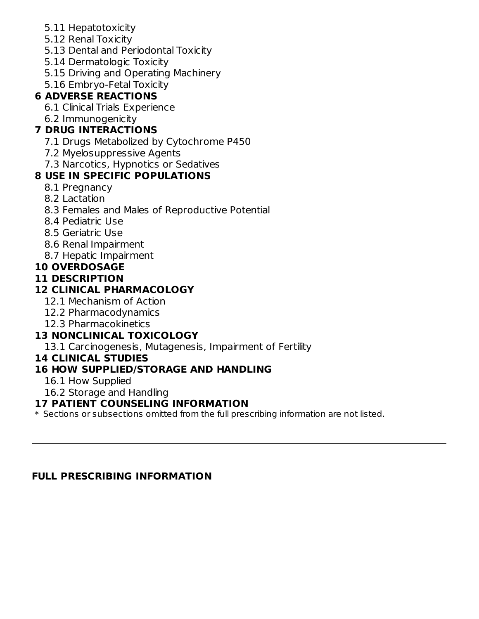- 5.11 Hepatotoxicity
- 5.12 Renal Toxicity
- 5.13 Dental and Periodontal Toxicity
- 5.14 Dermatologic Toxicity
- 5.15 Driving and Operating Machinery
- 5.16 Embryo-Fetal Toxicity

# **6 ADVERSE REACTIONS**

- 6.1 Clinical Trials Experience
- 6.2 Immunogenicity

# **7 DRUG INTERACTIONS**

- 7.1 Drugs Metabolized by Cytochrome P450
- 7.2 Myelosuppressive Agents
- 7.3 Narcotics, Hypnotics or Sedatives

# **8 USE IN SPECIFIC POPULATIONS**

- 8.1 Pregnancy
- 8.2 Lactation
- 8.3 Females and Males of Reproductive Potential
- 8.4 Pediatric Use
- 8.5 Geriatric Use
- 8.6 Renal Impairment
- 8.7 Hepatic Impairment

### **10 OVERDOSAGE**

### **11 DESCRIPTION**

### **12 CLINICAL PHARMACOLOGY**

- 12.1 Mechanism of Action
- 12.2 Pharmacodynamics
- 12.3 Pharmacokinetics

# **13 NONCLINICAL TOXICOLOGY**

13.1 Carcinogenesis, Mutagenesis, Impairment of Fertility

**14 CLINICAL STUDIES**

### **16 HOW SUPPLIED/STORAGE AND HANDLING**

- 16.1 How Supplied
- 16.2 Storage and Handling

### **17 PATIENT COUNSELING INFORMATION**

 $\ast$  Sections or subsections omitted from the full prescribing information are not listed.

### **FULL PRESCRIBING INFORMATION**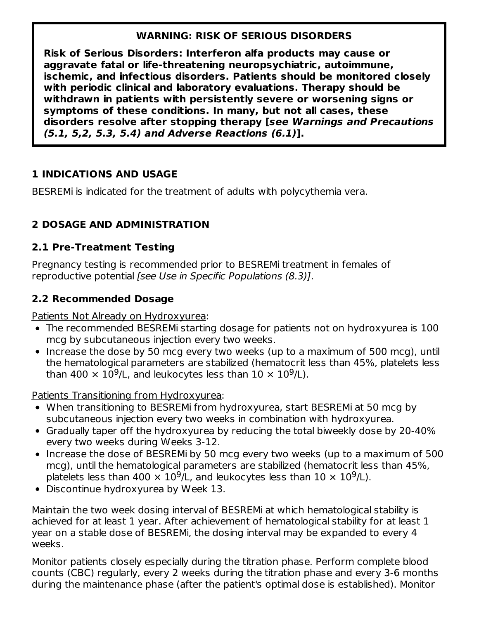### **WARNING: RISK OF SERIOUS DISORDERS**

**Risk of Serious Disorders: Interferon alfa products may cause or aggravate fatal or life-threatening neuropsychiatric, autoimmune, ischemic, and infectious disorders. Patients should be monitored closely with periodic clinical and laboratory evaluations. Therapy should be withdrawn in patients with persistently severe or worsening signs or symptoms of these conditions. In many, but not all cases, these disorders resolve after stopping therapy [see Warnings and Precautions (5.1, 5,2, 5.3, 5.4) and Adverse Reactions (6.1)].**

### **1 INDICATIONS AND USAGE**

BESREMi is indicated for the treatment of adults with polycythemia vera.

# **2 DOSAGE AND ADMINISTRATION**

### **2.1 Pre-Treatment Testing**

Pregnancy testing is recommended prior to BESREMi treatment in females of reproductive potential *[see Use in Specific Populations (8.3)]*.

### **2.2 Recommended Dosage**

Patients Not Already on Hydroxyurea:

- The recommended BESREMi starting dosage for patients not on hydroxyurea is 100 mcg by subcutaneous injection every two weeks.
- Increase the dose by 50 mcg every two weeks (up to a maximum of 500 mcg), until the hematological parameters are stabilized (hematocrit less than 45%, platelets less than 400  $\times$  10<sup>9</sup>/L, and leukocytes less than 10  $\times$  10<sup>9</sup>/L).

Patients Transitioning from Hydroxyurea:

- When transitioning to BESREMi from hydroxyurea, start BESREMi at 50 mcg by subcutaneous injection every two weeks in combination with hydroxyurea.
- Gradually taper off the hydroxyurea by reducing the total biweekly dose by 20-40% every two weeks during Weeks 3-12.
- Increase the dose of BESREMi by 50 mcg every two weeks (up to a maximum of 500 mcg), until the hematological parameters are stabilized (hematocrit less than 45%, platelets less than 400  $\times$  10<sup>9</sup>/L, and leukocytes less than 10  $\times$  10<sup>9</sup>/L).
- Discontinue hydroxyurea by Week 13.

Maintain the two week dosing interval of BESREMi at which hematological stability is achieved for at least 1 year. After achievement of hematological stability for at least 1 year on a stable dose of BESREMi, the dosing interval may be expanded to every 4 weeks.

Monitor patients closely especially during the titration phase. Perform complete blood counts (CBC) regularly, every 2 weeks during the titration phase and every 3-6 months during the maintenance phase (after the patient's optimal dose is established). Monitor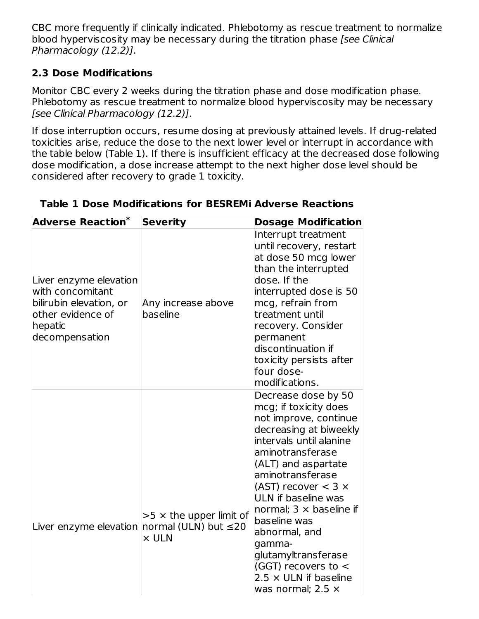CBC more frequently if clinically indicated. Phlebotomy as rescue treatment to normalize blood hyperviscosity may be necessary during the titration phase [see Clinical Pharmacology (12.2)].

### **2.3 Dose Modifications**

Monitor CBC every 2 weeks during the titration phase and dose modification phase. Phlebotomy as rescue treatment to normalize blood hyperviscosity may be necessary [see Clinical Pharmacology (12.2)].

If dose interruption occurs, resume dosing at previously attained levels. If drug-related toxicities arise, reduce the dose to the next lower level or interrupt in accordance with the table below (Table 1). If there is insufficient efficacy at the decreased dose following dose modification, a dose increase attempt to the next higher dose level should be considered after recovery to grade 1 toxicity.

| Adverse Reaction <sup>*</sup>                                                                                           | <b>Severity</b>                                | <b>Dosage Modification</b>                                                                                                                                                                                                                                                                                                                                                                                                              |
|-------------------------------------------------------------------------------------------------------------------------|------------------------------------------------|-----------------------------------------------------------------------------------------------------------------------------------------------------------------------------------------------------------------------------------------------------------------------------------------------------------------------------------------------------------------------------------------------------------------------------------------|
| Liver enzyme elevation<br>with concomitant<br>bilirubin elevation, or<br>other evidence of<br>hepatic<br>decompensation | Any increase above<br>baseline                 | Interrupt treatment<br>until recovery, restart<br>at dose 50 mcg lower<br>than the interrupted<br>dose. If the<br>interrupted dose is 50<br>mcg, refrain from<br>treatment until<br>recovery. Consider<br>permanent<br>discontinuation if<br>toxicity persists after<br>four dose-<br>modifications.                                                                                                                                    |
| Liver enzyme elevation normal (ULN) but $\leq 20$                                                                       | $>5 \times$ the upper limit of<br>$\times$ ULN | Decrease dose by 50<br>mcg; if toxicity does<br>not improve, continue<br>decreasing at biweekly<br>intervals until alanine<br>aminotransferase<br>(ALT) and aspartate<br>aminotransferase<br>(AST) recover $<$ 3 $\times$<br>ULN if baseline was<br>normal; $3 \times$ baseline if<br>baseline was<br>abnormal, and<br>gamma-<br>glutamyltransferase<br>(GGT) recovers to <<br>$2.5 \times$ ULN if baseline<br>was normal; $2.5 \times$ |

### **Table 1 Dose Modifications for BESREMi Adverse Reactions**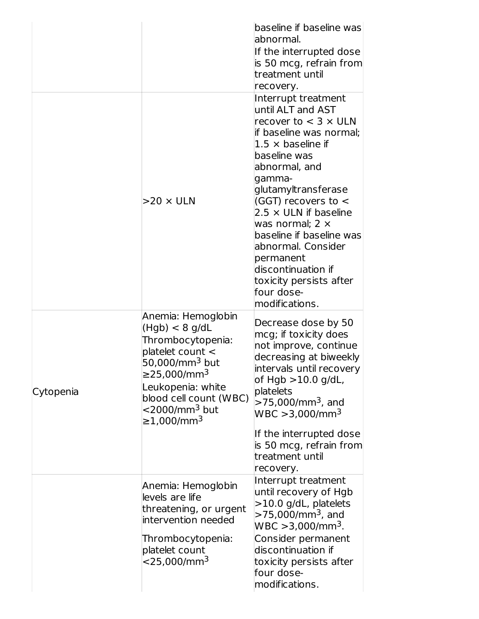|           | $>$ 20 $\times$ ULN                                                                                                                                                                                                                                   | baseline if baseline was<br>abnormal.<br>If the interrupted dose<br>is 50 mcg, refrain from<br>treatment until<br>recovery.<br>Interrupt treatment<br>until ALT and AST<br>recover to $<$ 3 $\times$ ULN<br>lif baseline was normal;<br>$1.5 \times$ baseline if<br>baseline was<br>abnormal, and<br>gamma-<br>glutamyltransferase<br>(GGT) recovers to $\lt$<br>$2.5 \times$ ULN if baseline<br>was normal; $2 \times$<br>baseline if baseline was<br>abnormal. Consider<br>permanent<br>discontinuation if<br>toxicity persists after<br>four dose-<br>modifications. |
|-----------|-------------------------------------------------------------------------------------------------------------------------------------------------------------------------------------------------------------------------------------------------------|-------------------------------------------------------------------------------------------------------------------------------------------------------------------------------------------------------------------------------------------------------------------------------------------------------------------------------------------------------------------------------------------------------------------------------------------------------------------------------------------------------------------------------------------------------------------------|
| Cytopenia | Anemia: Hemoglobin<br>(Hgb) < 8 g/dL<br>Thrombocytopenia:<br>platelet count <<br>50,000/mm <sup>3</sup> but<br>≥25,000/mm <sup>3</sup><br>Leukopenia: white<br>blood cell count (WBC)<br>$<$ 2000/mm <sup>3</sup> but<br>$\geq$ 1,000/mm <sup>3</sup> | Decrease dose by 50<br>mcg; if toxicity does<br>not improve, continue<br>decreasing at biweekly<br>intervals until recovery<br>of $Hgb > 10.0$ g/dL,<br>platelets<br>$>$ 75,000/mm <sup>3</sup> , and<br>$WBC > 3,000/mm^3$<br>If the interrupted dose<br>is 50 mcg, refrain from                                                                                                                                                                                                                                                                                       |
|           |                                                                                                                                                                                                                                                       | treatment until<br>recovery.                                                                                                                                                                                                                                                                                                                                                                                                                                                                                                                                            |
|           | Anemia: Hemoglobin<br>levels are life<br>threatening, or urgent<br>intervention needed<br>Thrombocytopenia:<br>platelet count<br>$<$ 25,000/mm $^3$                                                                                                   | Interrupt treatment<br>until recovery of Hgb<br>$>10.0$ g/dL, platelets<br>>75,000/mm <sup>3</sup> , and<br>$WBC > 3,000/mm^3$ .<br>Consider permanent<br>discontinuation if<br>toxicity persists after<br>four dose-<br>modifications.                                                                                                                                                                                                                                                                                                                                 |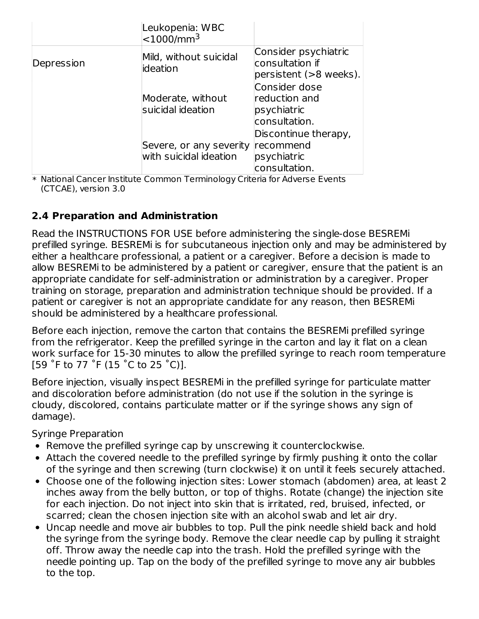|            | Leukopenia: WBC<br>$<$ 1000/mm <sup>3</sup>       |                                                                   |
|------------|---------------------------------------------------|-------------------------------------------------------------------|
| Depression | Mild, without suicidal<br>lideation               | Consider psychiatric<br>consultation if<br>persistent (>8 weeks). |
|            | Moderate, without<br>suicidal ideation            | Consider dose<br>reduction and<br>psychiatric<br>consultation.    |
|            | Severe, or any severity<br>with suicidal ideation | Discontinue therapy,<br>recommend<br>psychiatric<br>consultation. |

\* National Cancer Institute Common Terminology Criteria for Adverse Events (CTCAE), version 3.0

### **2.4 Preparation and Administration**

Read the INSTRUCTIONS FOR USE before administering the single-dose BESREMi prefilled syringe. BESREMi is for subcutaneous injection only and may be administered by either a healthcare professional, a patient or a caregiver. Before a decision is made to allow BESREMi to be administered by a patient or caregiver, ensure that the patient is an appropriate candidate for self-administration or administration by a caregiver. Proper training on storage, preparation and administration technique should be provided. If a patient or caregiver is not an appropriate candidate for any reason, then BESREMi should be administered by a healthcare professional.

Before each injection, remove the carton that contains the BESREMi prefilled syringe from the refrigerator. Keep the prefilled syringe in the carton and lay it flat on a clean work surface for 15-30 minutes to allow the prefilled syringe to reach room temperature [59 ˚F to 77 ˚F (15 ˚C to 25 ˚C)].

Before injection, visually inspect BESREMi in the prefilled syringe for particulate matter and discoloration before administration (do not use if the solution in the syringe is cloudy, discolored, contains particulate matter or if the syringe shows any sign of damage).

Syringe Preparation

- Remove the prefilled syringe cap by unscrewing it counterclockwise.
- Attach the covered needle to the prefilled syringe by firmly pushing it onto the collar of the syringe and then screwing (turn clockwise) it on until it feels securely attached.
- Choose one of the following injection sites: Lower stomach (abdomen) area, at least 2 inches away from the belly button, or top of thighs. Rotate (change) the injection site for each injection. Do not inject into skin that is irritated, red, bruised, infected, or scarred; clean the chosen injection site with an alcohol swab and let air dry.
- Uncap needle and move air bubbles to top. Pull the pink needle shield back and hold the syringe from the syringe body. Remove the clear needle cap by pulling it straight off. Throw away the needle cap into the trash. Hold the prefilled syringe with the needle pointing up. Tap on the body of the prefilled syringe to move any air bubbles to the top.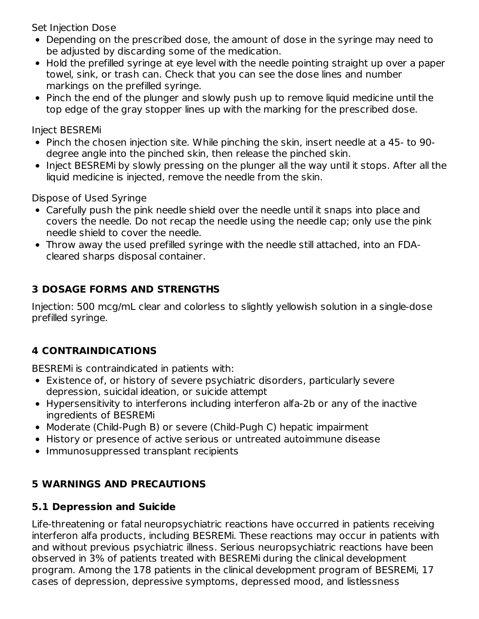Set Injection Dose

- Depending on the prescribed dose, the amount of dose in the syringe may need to be adjusted by discarding some of the medication.
- Hold the prefilled syringe at eye level with the needle pointing straight up over a paper towel, sink, or trash can. Check that you can see the dose lines and number markings on the prefilled syringe.
- Pinch the end of the plunger and slowly push up to remove liquid medicine until the top edge of the gray stopper lines up with the marking for the prescribed dose.

Inject BESREMi

- Pinch the chosen injection site. While pinching the skin, insert needle at a 45- to 90 degree angle into the pinched skin, then release the pinched skin.
- Inject BESREMi by slowly pressing on the plunger all the way until it stops. After all the liquid medicine is injected, remove the needle from the skin.

Dispose of Used Syringe

- Carefully push the pink needle shield over the needle until it snaps into place and covers the needle. Do not recap the needle using the needle cap; only use the pink needle shield to cover the needle.
- Throw away the used prefilled syringe with the needle still attached, into an FDAcleared sharps disposal container.

# **3 DOSAGE FORMS AND STRENGTHS**

Injection: 500 mcg/mL clear and colorless to slightly yellowish solution in a single-dose prefilled syringe.

# **4 CONTRAINDICATIONS**

BESREMi is contraindicated in patients with:

- Existence of, or history of severe psychiatric disorders, particularly severe depression, suicidal ideation, or suicide attempt
- Hypersensitivity to interferons including interferon alfa-2b or any of the inactive ingredients of BESREMi
- Moderate (Child-Pugh B) or severe (Child-Pugh C) hepatic impairment
- History or presence of active serious or untreated autoimmune disease
- Immunosuppressed transplant recipients

# **5 WARNINGS AND PRECAUTIONS**

# **5.1 Depression and Suicide**

Life-threatening or fatal neuropsychiatric reactions have occurred in patients receiving interferon alfa products, including BESREMi. These reactions may occur in patients with and without previous psychiatric illness. Serious neuropsychiatric reactions have been observed in 3% of patients treated with BESREMi during the clinical development program. Among the 178 patients in the clinical development program of BESREMi, 17 cases of depression, depressive symptoms, depressed mood, and listlessness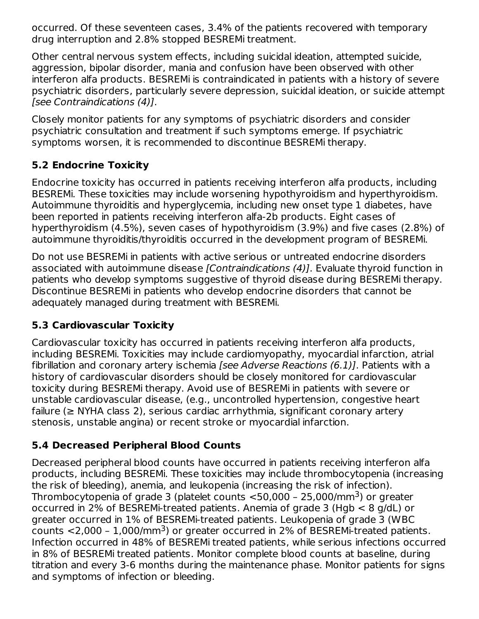occurred. Of these seventeen cases, 3.4% of the patients recovered with temporary drug interruption and 2.8% stopped BESREMi treatment.

Other central nervous system effects, including suicidal ideation, attempted suicide, aggression, bipolar disorder, mania and confusion have been observed with other interferon alfa products. BESREMi is contraindicated in patients with a history of severe psychiatric disorders, particularly severe depression, suicidal ideation, or suicide attempt [see Contraindications (4)].

Closely monitor patients for any symptoms of psychiatric disorders and consider psychiatric consultation and treatment if such symptoms emerge. If psychiatric symptoms worsen, it is recommended to discontinue BESREMi therapy.

### **5.2 Endocrine Toxicity**

Endocrine toxicity has occurred in patients receiving interferon alfa products, including BESREMi. These toxicities may include worsening hypothyroidism and hyperthyroidism. Autoimmune thyroiditis and hyperglycemia, including new onset type 1 diabetes, have been reported in patients receiving interferon alfa-2b products. Eight cases of hyperthyroidism (4.5%), seven cases of hypothyroidism (3.9%) and five cases (2.8%) of autoimmune thyroiditis/thyroiditis occurred in the development program of BESREMi.

Do not use BESREMi in patients with active serious or untreated endocrine disorders associated with autoimmune disease [Contraindications (4)]. Evaluate thyroid function in patients who develop symptoms suggestive of thyroid disease during BESREMi therapy. Discontinue BESREMi in patients who develop endocrine disorders that cannot be adequately managed during treatment with BESREMi.

### **5.3 Cardiovascular Toxicity**

Cardiovascular toxicity has occurred in patients receiving interferon alfa products, including BESREMi. Toxicities may include cardiomyopathy, myocardial infarction, atrial fibrillation and coronary artery ischemia [see Adverse Reactions (6.1)]. Patients with a history of cardiovascular disorders should be closely monitored for cardiovascular toxicity during BESREMi therapy. Avoid use of BESREMi in patients with severe or unstable cardiovascular disease, (e.g., uncontrolled hypertension, congestive heart failure (≥ NYHA class 2), serious cardiac arrhythmia, significant coronary artery stenosis, unstable angina) or recent stroke or myocardial infarction.

### **5.4 Decreased Peripheral Blood Counts**

Decreased peripheral blood counts have occurred in patients receiving interferon alfa products, including BESREMi. These toxicities may include thrombocytopenia (increasing the risk of bleeding), anemia, and leukopenia (increasing the risk of infection). Thrombocytopenia of grade 3 (platelet counts  $<$ 50,000 - 25,000/mm $^3$ ) or greater occurred in 2% of BESREMi-treated patients. Anemia of grade 3 (Hgb < 8 g/dL) or greater occurred in 1% of BESREMi-treated patients. Leukopenia of grade 3 (WBC counts  $\langle 2,000 - 1,000/\text{mm}^3 \rangle$  or greater occurred in 2% of BESREMi-treated patients. Infection occurred in 48% of BESREMi treated patients, while serious infections occurred in 8% of BESREMi treated patients. Monitor complete blood counts at baseline, during titration and every 3-6 months during the maintenance phase. Monitor patients for signs and symptoms of infection or bleeding.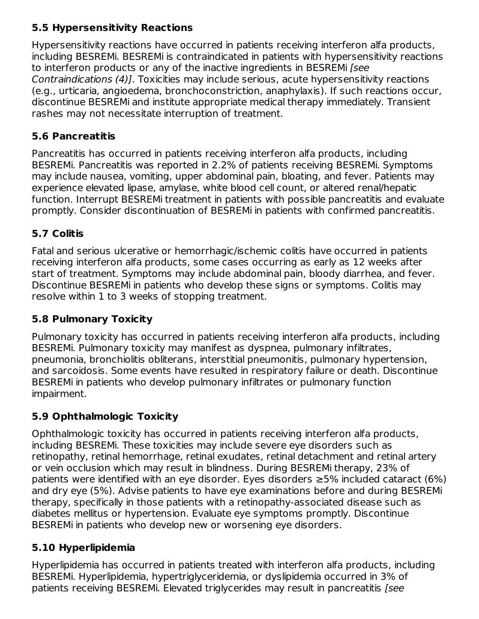# **5.5 Hypersensitivity Reactions**

Hypersensitivity reactions have occurred in patients receiving interferon alfa products, including BESREMi. BESREMi is contraindicated in patients with hypersensitivity reactions to interferon products or any of the inactive ingredients in BESREMi [see Contraindications (4)]. Toxicities may include serious, acute hypersensitivity reactions (e.g., urticaria, angioedema, bronchoconstriction, anaphylaxis). If such reactions occur, discontinue BESREMi and institute appropriate medical therapy immediately. Transient rashes may not necessitate interruption of treatment.

### **5.6 Pancreatitis**

Pancreatitis has occurred in patients receiving interferon alfa products, including BESREMi. Pancreatitis was reported in 2.2% of patients receiving BESREMi. Symptoms may include nausea, vomiting, upper abdominal pain, bloating, and fever. Patients may experience elevated lipase, amylase, white blood cell count, or altered renal/hepatic function. Interrupt BESREMi treatment in patients with possible pancreatitis and evaluate promptly. Consider discontinuation of BESREMi in patients with confirmed pancreatitis.

# **5.7 Colitis**

Fatal and serious ulcerative or hemorrhagic/ischemic colitis have occurred in patients receiving interferon alfa products, some cases occurring as early as 12 weeks after start of treatment. Symptoms may include abdominal pain, bloody diarrhea, and fever. Discontinue BESREMi in patients who develop these signs or symptoms. Colitis may resolve within 1 to 3 weeks of stopping treatment.

# **5.8 Pulmonary Toxicity**

Pulmonary toxicity has occurred in patients receiving interferon alfa products, including BESREMi. Pulmonary toxicity may manifest as dyspnea, pulmonary infiltrates, pneumonia, bronchiolitis obliterans, interstitial pneumonitis, pulmonary hypertension, and sarcoidosis. Some events have resulted in respiratory failure or death. Discontinue BESREMi in patients who develop pulmonary infiltrates or pulmonary function impairment.

# **5.9 Ophthalmologic Toxicity**

Ophthalmologic toxicity has occurred in patients receiving interferon alfa products, including BESREMi. These toxicities may include severe eye disorders such as retinopathy, retinal hemorrhage, retinal exudates, retinal detachment and retinal artery or vein occlusion which may result in blindness. During BESREMi therapy, 23% of patients were identified with an eye disorder. Eyes disorders  $\geq$ 5% included cataract (6%) and dry eye (5%). Advise patients to have eye examinations before and during BESREMi therapy, specifically in those patients with a retinopathy-associated disease such as diabetes mellitus or hypertension. Evaluate eye symptoms promptly. Discontinue BESREMi in patients who develop new or worsening eye disorders.

# **5.10 Hyperlipidemia**

Hyperlipidemia has occurred in patients treated with interferon alfa products, including BESREMi. Hyperlipidemia, hypertriglyceridemia, or dyslipidemia occurred in 3% of patients receiving BESREMi. Elevated triglycerides may result in pancreatitis [see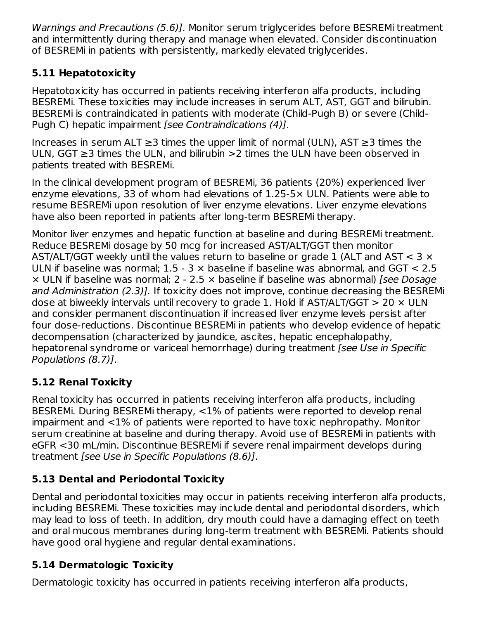Warnings and Precautions (5.6)]. Monitor serum triglycerides before BESREMi treatment and intermittently during therapy and manage when elevated. Consider discontinuation of BESREMi in patients with persistently, markedly elevated triglycerides.

# **5.11 Hepatotoxicity**

Hepatotoxicity has occurred in patients receiving interferon alfa products, including BESREMi. These toxicities may include increases in serum ALT, AST, GGT and bilirubin. BESREMi is contraindicated in patients with moderate (Child-Pugh B) or severe (Child-Pugh C) hepatic impairment [see Contraindications (4)].

Increases in serum ALT ≥3 times the upper limit of normal (ULN), AST ≥3 times the ULN, GGT ≥3 times the ULN, and bilirubin >2 times the ULN have been observed in patients treated with BESREMi.

In the clinical development program of BESREMi, 36 patients (20%) experienced liver enzyme elevations, 33 of whom had elevations of 1.25-5× ULN. Patients were able to resume BESREMi upon resolution of liver enzyme elevations. Liver enzyme elevations have also been reported in patients after long-term BESREMi therapy.

Monitor liver enzymes and hepatic function at baseline and during BESREMi treatment. Reduce BESREMi dosage by 50 mcg for increased AST/ALT/GGT then monitor AST/ALT/GGT weekly until the values return to baseline or grade 1 (ALT and AST  $<$  3  $\times$ ULN if baseline was normal;  $1.5 - 3 \times$  baseline if baseline was abnormal, and GGT < 2.5  $\times$  ULN if baseline was normal; 2 - 2.5  $\times$  baseline if baseline was abnormal) [see Dosage and Administration (2.3)]. If toxicity does not improve, continue decreasing the BESREMi dose at biweekly intervals until recovery to grade 1. Hold if AST/ALT/GGT  $> 20 \times$  ULN and consider permanent discontinuation if increased liver enzyme levels persist after four dose-reductions. Discontinue BESREMi in patients who develop evidence of hepatic decompensation (characterized by jaundice, ascites, hepatic encephalopathy, hepatorenal syndrome or variceal hemorrhage) during treatment [see Use in Specific Populations (8.7)].

# **5.12 Renal Toxicity**

Renal toxicity has occurred in patients receiving interferon alfa products, including BESREMi. During BESREMi therapy, <1% of patients were reported to develop renal impairment and <1% of patients were reported to have toxic nephropathy. Monitor serum creatinine at baseline and during therapy. Avoid use of BESREMi in patients with eGFR <30 mL/min. Discontinue BESREMi if severe renal impairment develops during treatment [see Use in Specific Populations (8.6)].

# **5.13 Dental and Periodontal Toxicity**

Dental and periodontal toxicities may occur in patients receiving interferon alfa products, including BESREMi. These toxicities may include dental and periodontal disorders, which may lead to loss of teeth. In addition, dry mouth could have a damaging effect on teeth and oral mucous membranes during long-term treatment with BESREMi. Patients should have good oral hygiene and regular dental examinations.

# **5.14 Dermatologic Toxicity**

Dermatologic toxicity has occurred in patients receiving interferon alfa products,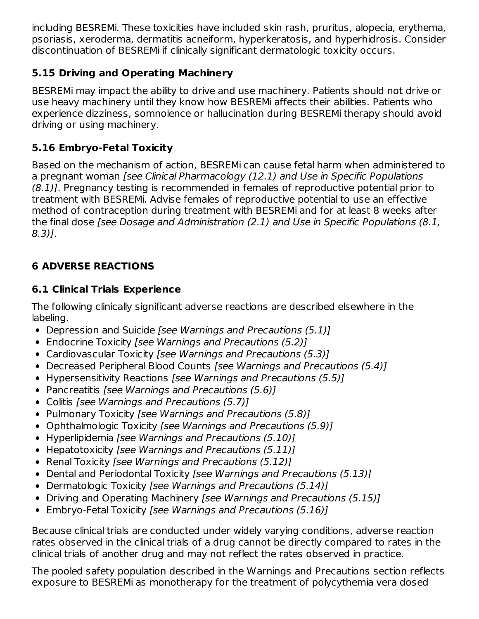including BESREMi. These toxicities have included skin rash, pruritus, alopecia, erythema, psoriasis, xeroderma, dermatitis acneiform, hyperkeratosis, and hyperhidrosis. Consider discontinuation of BESREMi if clinically significant dermatologic toxicity occurs.

# **5.15 Driving and Operating Machinery**

BESREMi may impact the ability to drive and use machinery. Patients should not drive or use heavy machinery until they know how BESREMi affects their abilities. Patients who experience dizziness, somnolence or hallucination during BESREMi therapy should avoid driving or using machinery.

# **5.16 Embryo-Fetal Toxicity**

Based on the mechanism of action, BESREMi can cause fetal harm when administered to a pregnant woman [see Clinical Pharmacology (12.1) and Use in Specific Populations (8.1)]. Pregnancy testing is recommended in females of reproductive potential prior to treatment with BESREMi. Advise females of reproductive potential to use an effective method of contraception during treatment with BESREMi and for at least 8 weeks after the final dose [see Dosage and Administration (2.1) and Use in Specific Populations (8.1, 8.3)].

# **6 ADVERSE REACTIONS**

# **6.1 Clinical Trials Experience**

The following clinically significant adverse reactions are described elsewhere in the labeling.

- Depression and Suicide [see Warnings and Precautions (5.1)]
- Endocrine Toxicity [see Warnings and Precautions (5.2)]
- Cardiovascular Toxicity [see Warnings and Precautions (5.3)]
- Decreased Peripheral Blood Counts [see Warnings and Precautions (5.4)]
- Hypersensitivity Reactions [see Warnings and Precautions (5.5)]
- Pancreatitis [see Warnings and Precautions (5.6)]
- Colitis [see Warnings and Precautions (5.7)]
- Pulmonary Toxicity [see Warnings and Precautions (5.8)]
- Ophthalmologic Toxicity [see Warnings and Precautions (5.9)]
- Hyperlipidemia [see Warnings and Precautions (5.10)]
- Hepatotoxicity [see Warnings and Precautions (5.11)]
- Renal Toxicity [see Warnings and Precautions (5.12)]
- Dental and Periodontal Toxicity [see Warnings and Precautions (5.13)]
- Dermatologic Toxicity [see Warnings and Precautions (5.14)]
- Driving and Operating Machinery [see Warnings and Precautions (5.15)]
- Embryo-Fetal Toxicity *[see Warnings and Precautions (5.16)]*

Because clinical trials are conducted under widely varying conditions, adverse reaction rates observed in the clinical trials of a drug cannot be directly compared to rates in the clinical trials of another drug and may not reflect the rates observed in practice.

The pooled safety population described in the Warnings and Precautions section reflects exposure to BESREMi as monotherapy for the treatment of polycythemia vera dosed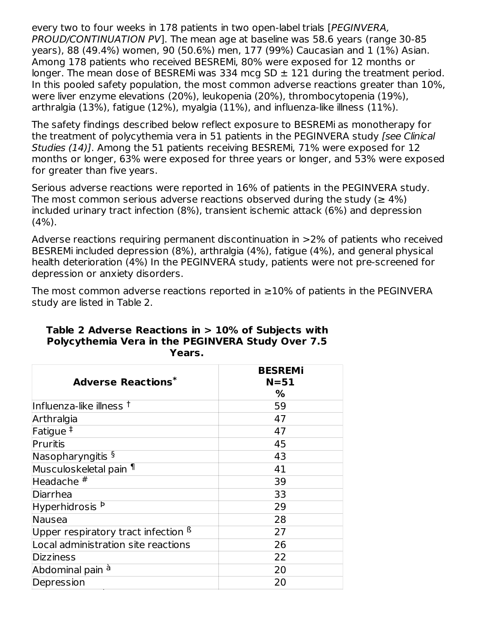every two to four weeks in 178 patients in two open-label trials [PEGINVERA, PROUD/CONTINUATION PV]. The mean age at baseline was 58.6 years (range 30-85 years), 88 (49.4%) women, 90 (50.6%) men, 177 (99%) Caucasian and 1 (1%) Asian. Among 178 patients who received BESREMi, 80% were exposed for 12 months or longer. The mean dose of BESREMi was 334 mcg  $SD \pm 121$  during the treatment period. In this pooled safety population, the most common adverse reactions greater than 10%, were liver enzyme elevations (20%), leukopenia (20%), thrombocytopenia (19%), arthralgia (13%), fatigue (12%), myalgia (11%), and influenza-like illness (11%).

The safety findings described below reflect exposure to BESREMi as monotherapy for the treatment of polycythemia vera in 51 patients in the PEGINVERA study [see Clinical Studies (14)]. Among the 51 patients receiving BESREMi, 71% were exposed for 12 months or longer, 63% were exposed for three years or longer, and 53% were exposed for greater than five years.

Serious adverse reactions were reported in 16% of patients in the PEGINVERA study. The most common serious adverse reactions observed during the study ( $\geq 4\%$ ) included urinary tract infection (8%), transient ischemic attack (6%) and depression (4%).

Adverse reactions requiring permanent discontinuation in >2% of patients who received BESREMi included depression (8%), arthralgia (4%), fatigue (4%), and general physical health deterioration (4%) In the PEGINVERA study, patients were not pre-screened for depression or anxiety disorders.

The most common adverse reactions reported in  $\geq$ 10% of patients in the PEGINVERA study are listed in Table 2.

|                                                | <b>BESREMI</b><br>$N = 51$ |  |  |
|------------------------------------------------|----------------------------|--|--|
| <b>Adverse Reactions*</b>                      | %                          |  |  |
| Influenza-like illness $^\dagger$              | 59                         |  |  |
| Arthralgia                                     | 47                         |  |  |
| Fatigue <sup>‡</sup>                           | 47                         |  |  |
| Pruritis                                       | 45                         |  |  |
| Nasopharyngitis §                              | 43                         |  |  |
| Musculoskeletal pain ¶                         | 41                         |  |  |
| Headache $\overline{\text{#}}$                 | 39                         |  |  |
| Diarrhea                                       | 33                         |  |  |
| Hyperhidrosis <sup>Þ</sup>                     | 29                         |  |  |
| <b>Nausea</b>                                  | 28                         |  |  |
| Upper respiratory tract infection <sup>ß</sup> | 27                         |  |  |
| Local administration site reactions            | 26                         |  |  |
| <b>Dizziness</b>                               | 22                         |  |  |
| Abdominal pain <sup>à</sup>                    | 20                         |  |  |
| Depression                                     | 20                         |  |  |

#### **Table 2 Adverse Reactions in > 10% of Subjects with Polycythemia Vera in the PEGINVERA Study Over 7.5 Years.**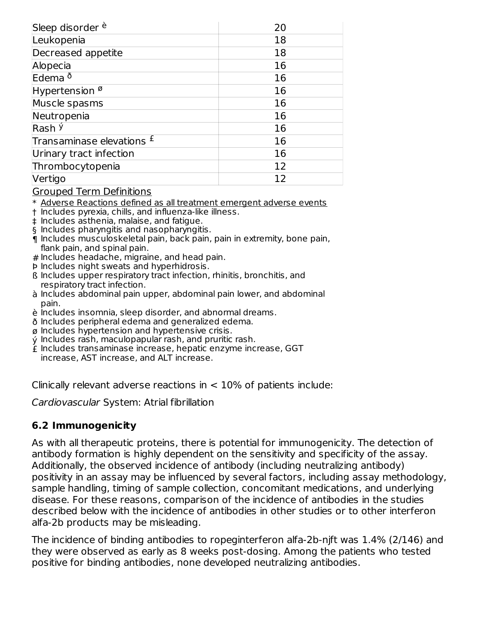| Sleep disorder <sup>è</sup>          | 20 |
|--------------------------------------|----|
| Leukopenia                           | 18 |
| Decreased appetite                   | 18 |
| Alopecia                             | 16 |
| Edema <sup>ð</sup>                   | 16 |
| Hypertension $\%$                    | 16 |
| Muscle spasms                        | 16 |
| Neutropenia                          | 16 |
| Rash <sup>ý</sup>                    | 16 |
| Transaminase elevations <sup>£</sup> | 16 |
| Urinary tract infection              | 16 |
| Thrombocytopenia                     | 12 |
| Vertigo                              | 12 |

Grouped Term Definitions

\* Adverse Reactions defined as all treatment emergent adverse events

- † Includes pyrexia, chills, and influenza-like illness.
- ‡ Includes asthenia, malaise, and fatigue.
- § Includes pharyngitis and nasopharyngitis.
- ¶ Includes musculoskeletal pain, back pain, pain in extremity, bone pain, flank pain, and spinal pain.
- # Includes headache, migraine, and head pain.
- Þ Includes night sweats and hyperhidrosis.
- ß Includes upper respiratory tract infection, rhinitis, bronchitis, and respiratory tract infection.
- à Includes abdominal pain upper, abdominal pain lower, and abdominal pain.
- è Includes insomnia, sleep disorder, and abnormal dreams.
- ð Includes peripheral edema and generalized edema.
- ø Includes hypertension and hypertensive crisis.
- ý Includes rash, maculopapular rash, and pruritic rash.
- £ Includes transaminase increase, hepatic enzyme increase, GGT increase, AST increase, and ALT increase.

Clinically relevant adverse reactions in  $<$  10% of patients include:

Cardiovascular System: Atrial fibrillation

#### **6.2 Immunogenicity**

As with all therapeutic proteins, there is potential for immunogenicity. The detection of antibody formation is highly dependent on the sensitivity and specificity of the assay. Additionally, the observed incidence of antibody (including neutralizing antibody) positivity in an assay may be influenced by several factors, including assay methodology, sample handling, timing of sample collection, concomitant medications, and underlying disease. For these reasons, comparison of the incidence of antibodies in the studies described below with the incidence of antibodies in other studies or to other interferon alfa-2b products may be misleading.

The incidence of binding antibodies to ropeginterferon alfa-2b-njft was 1.4% (2/146) and they were observed as early as 8 weeks post-dosing. Among the patients who tested positive for binding antibodies, none developed neutralizing antibodies.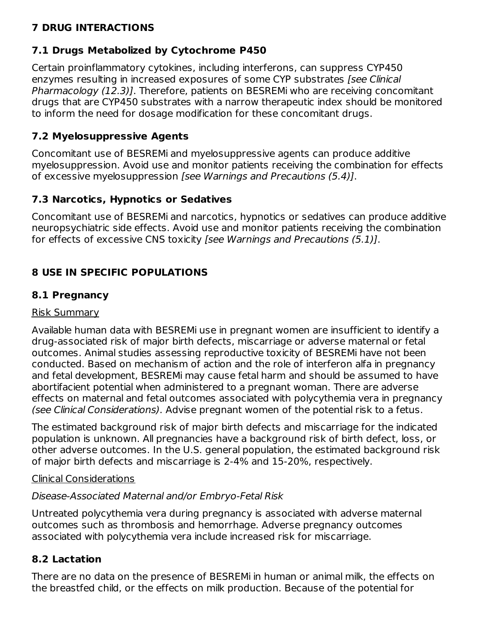# **7 DRUG INTERACTIONS**

# **7.1 Drugs Metabolized by Cytochrome P450**

Certain proinflammatory cytokines, including interferons, can suppress CYP450 enzymes resulting in increased exposures of some CYP substrates [see Clinical] Pharmacology (12.3)]. Therefore, patients on BESREMi who are receiving concomitant drugs that are CYP450 substrates with a narrow therapeutic index should be monitored to inform the need for dosage modification for these concomitant drugs.

### **7.2 Myelosuppressive Agents**

Concomitant use of BESREMi and myelosuppressive agents can produce additive myelosuppression. Avoid use and monitor patients receiving the combination for effects of excessive myelosuppression [see Warnings and Precautions (5.4)].

### **7.3 Narcotics, Hypnotics or Sedatives**

Concomitant use of BESREMi and narcotics, hypnotics or sedatives can produce additive neuropsychiatric side effects. Avoid use and monitor patients receiving the combination for effects of excessive CNS toxicity [see Warnings and Precautions (5.1)].

# **8 USE IN SPECIFIC POPULATIONS**

### **8.1 Pregnancy**

### Risk Summary

Available human data with BESREMi use in pregnant women are insufficient to identify a drug-associated risk of major birth defects, miscarriage or adverse maternal or fetal outcomes. Animal studies assessing reproductive toxicity of BESREMi have not been conducted. Based on mechanism of action and the role of interferon alfa in pregnancy and fetal development, BESREMi may cause fetal harm and should be assumed to have abortifacient potential when administered to a pregnant woman. There are adverse effects on maternal and fetal outcomes associated with polycythemia vera in pregnancy (see Clinical Considerations). Advise pregnant women of the potential risk to a fetus.

The estimated background risk of major birth defects and miscarriage for the indicated population is unknown. All pregnancies have a background risk of birth defect, loss, or other adverse outcomes. In the U.S. general population, the estimated background risk of major birth defects and miscarriage is 2-4% and 15-20%, respectively.

### Clinical Considerations

### Disease-Associated Maternal and/or Embryo-Fetal Risk

Untreated polycythemia vera during pregnancy is associated with adverse maternal outcomes such as thrombosis and hemorrhage. Adverse pregnancy outcomes associated with polycythemia vera include increased risk for miscarriage.

### **8.2 Lactation**

There are no data on the presence of BESREMi in human or animal milk, the effects on the breastfed child, or the effects on milk production. Because of the potential for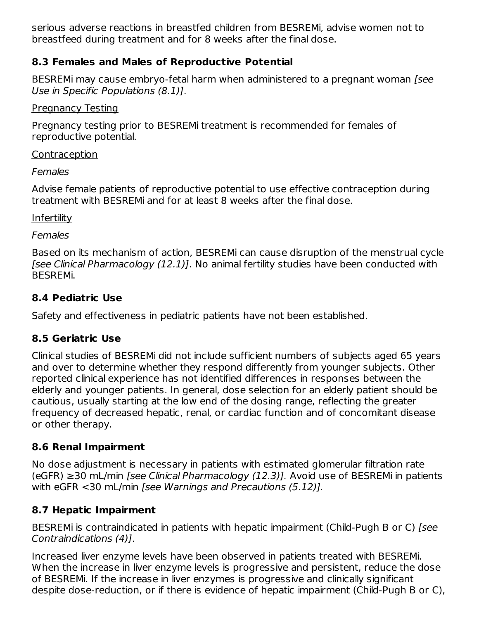serious adverse reactions in breastfed children from BESREMi, advise women not to breastfeed during treatment and for 8 weeks after the final dose.

### **8.3 Females and Males of Reproductive Potential**

BESREMi may cause embryo-fetal harm when administered to a pregnant woman [see Use in Specific Populations (8.1)].

### Pregnancy Testing

Pregnancy testing prior to BESREMi treatment is recommended for females of reproductive potential.

### **Contraception**

Females

Advise female patients of reproductive potential to use effective contraception during treatment with BESREMi and for at least 8 weeks after the final dose.

**Infertility** 

**Females** 

Based on its mechanism of action, BESREMi can cause disruption of the menstrual cycle [see Clinical Pharmacology (12.1)]. No animal fertility studies have been conducted with BESREMi.

# **8.4 Pediatric Use**

Safety and effectiveness in pediatric patients have not been established.

# **8.5 Geriatric Use**

Clinical studies of BESREMi did not include sufficient numbers of subjects aged 65 years and over to determine whether they respond differently from younger subjects. Other reported clinical experience has not identified differences in responses between the elderly and younger patients. In general, dose selection for an elderly patient should be cautious, usually starting at the low end of the dosing range, reflecting the greater frequency of decreased hepatic, renal, or cardiac function and of concomitant disease or other therapy.

# **8.6 Renal Impairment**

No dose adjustment is necessary in patients with estimated glomerular filtration rate  $(eGFR) \geq 30$  mL/min [see Clinical Pharmacology (12.3)]. Avoid use of BESREMi in patients with eGFR <30 mL/min [see Warnings and Precautions (5.12)].

# **8.7 Hepatic Impairment**

BESREMi is contraindicated in patients with hepatic impairment (Child-Pugh B or C) [see Contraindications (4)].

Increased liver enzyme levels have been observed in patients treated with BESREMi. When the increase in liver enzyme levels is progressive and persistent, reduce the dose of BESREMi. If the increase in liver enzymes is progressive and clinically significant despite dose-reduction, or if there is evidence of hepatic impairment (Child-Pugh B or C),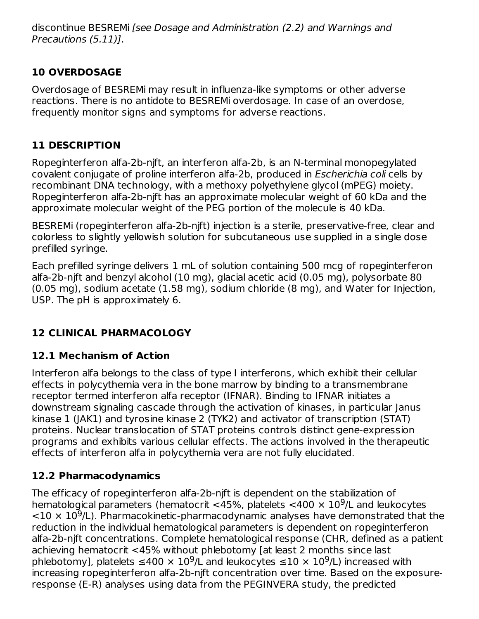discontinue BESREMi [see Dosage and Administration (2.2) and Warnings and Precautions (5.11)].

# **10 OVERDOSAGE**

Overdosage of BESREMi may result in influenza-like symptoms or other adverse reactions. There is no antidote to BESREMi overdosage. In case of an overdose, frequently monitor signs and symptoms for adverse reactions.

# **11 DESCRIPTION**

Ropeginterferon alfa-2b-njft, an interferon alfa-2b, is an N-terminal monopegylated covalent conjugate of proline interferon alfa-2b, produced in Escherichia coli cells by recombinant DNA technology, with a methoxy polyethylene glycol (mPEG) moiety. Ropeginterferon alfa-2b-njft has an approximate molecular weight of 60 kDa and the approximate molecular weight of the PEG portion of the molecule is 40 kDa.

BESREMi (ropeginterferon alfa-2b-njft) injection is a sterile, preservative-free, clear and colorless to slightly yellowish solution for subcutaneous use supplied in a single dose prefilled syringe.

Each prefilled syringe delivers 1 mL of solution containing 500 mcg of ropeginterferon alfa-2b-njft and benzyl alcohol (10 mg), glacial acetic acid (0.05 mg), polysorbate 80 (0.05 mg), sodium acetate (1.58 mg), sodium chloride (8 mg), and Water for Injection, USP. The pH is approximately 6.

# **12 CLINICAL PHARMACOLOGY**

# **12.1 Mechanism of Action**

Interferon alfa belongs to the class of type I interferons, which exhibit their cellular effects in polycythemia vera in the bone marrow by binding to a transmembrane receptor termed interferon alfa receptor (IFNAR). Binding to IFNAR initiates a downstream signaling cascade through the activation of kinases, in particular Janus kinase 1 (JAK1) and tyrosine kinase 2 (TYK2) and activator of transcription (STAT) proteins. Nuclear translocation of STAT proteins controls distinct gene-expression programs and exhibits various cellular effects. The actions involved in the therapeutic effects of interferon alfa in polycythemia vera are not fully elucidated.

# **12.2 Pharmacodynamics**

The efficacy of ropeginterferon alfa-2b-njft is dependent on the stabilization of hematological parameters (hematocrit <45%, platelets <400  $\times$  10<sup>9</sup>/L and leukocytes  $<$ 10  $\times$  10<sup>9</sup>/L). Pharmacokinetic-pharmacodynamic analyses have demonstrated that the reduction in the individual hematological parameters is dependent on ropeginterferon alfa-2b-njft concentrations. Complete hematological response (CHR, defined as a patient achieving hematocrit <45% without phlebotomy [at least 2 months since last phlebotomy], platelets  $\leq 400 \times 10^9$ /L and leukocytes  $\leq 10 \times 10^9$ /L) increased with increasing ropeginterferon alfa-2b-njft concentration over time. Based on the exposureresponse (E-R) analyses using data from the PEGINVERA study, the predicted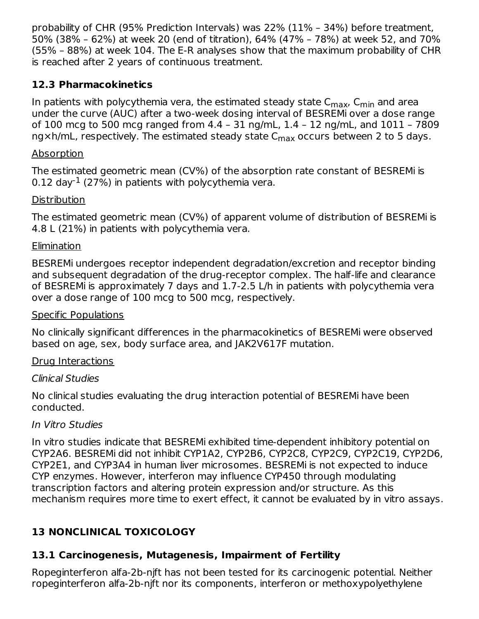probability of CHR (95% Prediction Intervals) was 22% (11% – 34%) before treatment, 50% (38% – 62%) at week 20 (end of titration), 64% (47% – 78%) at week 52, and 70% (55% – 88%) at week 104. The E-R analyses show that the maximum probability of CHR is reached after 2 years of continuous treatment.

### **12.3 Pharmacokinetics**

In patients with polycythemia vera, the estimated steady state C<sub>max</sub>, C<sub>min</sub> and area under the curve (AUC) after a two-week dosing interval of BESREMi over a dose range of 100 mcg to 500 mcg ranged from 4.4 – 31 ng/mL, 1.4 – 12 ng/mL, and 1011 – 7809  $\mathsf{ngxh/mL}$ , respectively. The estimated steady state  $\mathsf{C_{max}}$  occurs between 2 to 5 days.

### Absorption

The estimated geometric mean (CV%) of the absorption rate constant of BESREMi is 0.12 day<sup>-1</sup> (27%) in patients with polycythemia vera.

### **Distribution**

The estimated geometric mean (CV%) of apparent volume of distribution of BESREMi is 4.8 L (21%) in patients with polycythemia vera.

### **Elimination**

BESREMi undergoes receptor independent degradation/excretion and receptor binding and subsequent degradation of the drug-receptor complex. The half-life and clearance of BESREMi is approximately 7 days and 1.7-2.5 L/h in patients with polycythemia vera over a dose range of 100 mcg to 500 mcg, respectively.

### Specific Populations

No clinically significant differences in the pharmacokinetics of BESREMi were observed based on age, sex, body surface area, and JAK2V617F mutation.

### Drug Interactions

### Clinical Studies

No clinical studies evaluating the drug interaction potential of BESREMi have been conducted.

### In Vitro Studies

In vitro studies indicate that BESREMi exhibited time-dependent inhibitory potential on CYP2A6. BESREMi did not inhibit CYP1A2, CYP2B6, CYP2C8, CYP2C9, CYP2C19, CYP2D6, CYP2E1, and CYP3A4 in human liver microsomes. BESREMi is not expected to induce CYP enzymes. However, interferon may influence CYP450 through modulating transcription factors and altering protein expression and/or structure. As this mechanism requires more time to exert effect, it cannot be evaluated by in vitro assays.

# **13 NONCLINICAL TOXICOLOGY**

### **13.1 Carcinogenesis, Mutagenesis, Impairment of Fertility**

Ropeginterferon alfa-2b-njft has not been tested for its carcinogenic potential. Neither ropeginterferon alfa-2b-njft nor its components, interferon or methoxypolyethylene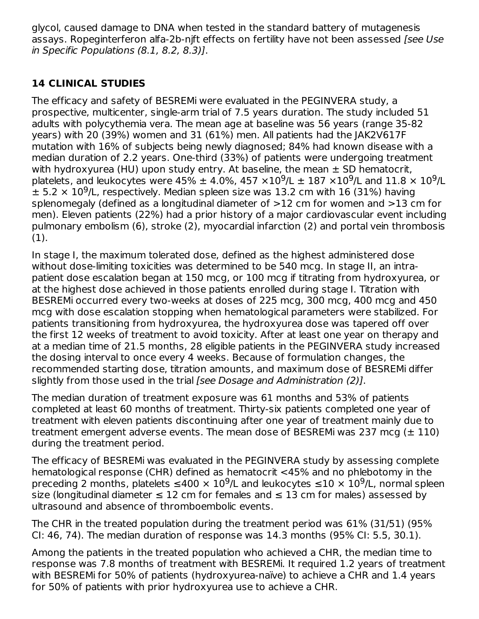glycol, caused damage to DNA when tested in the standard battery of mutagenesis assays. Ropeginterferon alfa-2b-njft effects on fertility have not been assessed [see Use in Specific Populations (8.1, 8.2, 8.3)].

# **14 CLINICAL STUDIES**

The efficacy and safety of BESREMi were evaluated in the PEGINVERA study, a prospective, multicenter, single-arm trial of 7.5 years duration. The study included 51 adults with polycythemia vera. The mean age at baseline was 56 years (range 35-82 years) with 20 (39%) women and 31 (61%) men. All patients had the JAK2V617F mutation with 16% of subjects being newly diagnosed; 84% had known disease with a median duration of 2.2 years. One-third (33%) of patients were undergoing treatment with hydroxyurea (HU) upon study entry. At baseline, the mean  $\pm$  SD hematocrit, platelets, and leukocytes were 45%  $\pm$  4.0%, 457  $\times10^9$ /L  $\pm$  187  $\times10^9$ /L and 11.8  $\times$  10<sup>9</sup>/L  $\pm$  5.2  $\times$  10<sup>9</sup>/L, respectively. Median spleen size was 13.2 cm with 16 (31%) having splenomegaly (defined as a longitudinal diameter of >12 cm for women and >13 cm for men). Eleven patients (22%) had a prior history of a major cardiovascular event including pulmonary embolism (6), stroke (2), myocardial infarction (2) and portal vein thrombosis (1).

In stage I, the maximum tolerated dose, defined as the highest administered dose without dose-limiting toxicities was determined to be 540 mcg. In stage II, an intrapatient dose escalation began at 150 mcg, or 100 mcg if titrating from hydroxyurea, or at the highest dose achieved in those patients enrolled during stage I. Titration with BESREMi occurred every two-weeks at doses of 225 mcg, 300 mcg, 400 mcg and 450 mcg with dose escalation stopping when hematological parameters were stabilized. For patients transitioning from hydroxyurea, the hydroxyurea dose was tapered off over the first 12 weeks of treatment to avoid toxicity. After at least one year on therapy and at a median time of 21.5 months, 28 eligible patients in the PEGINVERA study increased the dosing interval to once every 4 weeks. Because of formulation changes, the recommended starting dose, titration amounts, and maximum dose of BESREMi differ slightly from those used in the trial [see Dosage and Administration (2)].

The median duration of treatment exposure was 61 months and 53% of patients completed at least 60 months of treatment. Thirty-six patients completed one year of treatment with eleven patients discontinuing after one year of treatment mainly due to treatment emergent adverse events. The mean dose of BESREM was 237 mcg  $(\pm 110)$ during the treatment period.

The efficacy of BESREMi was evaluated in the PEGINVERA study by assessing complete hematological response (CHR) defined as hematocrit <45% and no phlebotomy in the preceding 2 months, platelets  $\leq 400 \times 10^9$ /L and leukocytes  $\leq 10 \times 10^9$ /L, normal spleen size (longitudinal diameter  $\leq 12$  cm for females and  $\leq 13$  cm for males) assessed by ultrasound and absence of thromboembolic events.

The CHR in the treated population during the treatment period was 61% (31/51) (95% CI: 46, 74). The median duration of response was 14.3 months (95% CI: 5.5, 30.1).

Among the patients in the treated population who achieved a CHR, the median time to response was 7.8 months of treatment with BESREMi. It required 1.2 years of treatment with BESREMi for 50% of patients (hydroxyurea-naïve) to achieve a CHR and 1.4 years for 50% of patients with prior hydroxyurea use to achieve a CHR.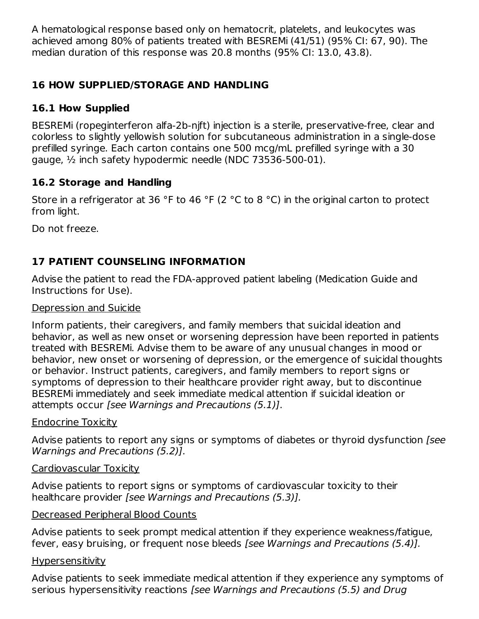A hematological response based only on hematocrit, platelets, and leukocytes was achieved among 80% of patients treated with BESREMi (41/51) (95% CI: 67, 90). The median duration of this response was 20.8 months (95% CI: 13.0, 43.8).

# **16 HOW SUPPLIED/STORAGE AND HANDLING**

### **16.1 How Supplied**

BESREMi (ropeginterferon alfa-2b-njft) injection is a sterile, preservative-free, clear and colorless to slightly yellowish solution for subcutaneous administration in a single-dose prefilled syringe. Each carton contains one 500 mcg/mL prefilled syringe with a 30 gauge, ½ inch safety hypodermic needle (NDC 73536-500-01).

### **16.2 Storage and Handling**

Store in a refrigerator at 36 °F to 46 °F (2 °C to 8 °C) in the original carton to protect from light.

Do not freeze.

# **17 PATIENT COUNSELING INFORMATION**

Advise the patient to read the FDA-approved patient labeling (Medication Guide and Instructions for Use).

#### Depression and Suicide

Inform patients, their caregivers, and family members that suicidal ideation and behavior, as well as new onset or worsening depression have been reported in patients treated with BESREMi. Advise them to be aware of any unusual changes in mood or behavior, new onset or worsening of depression, or the emergence of suicidal thoughts or behavior. Instruct patients, caregivers, and family members to report signs or symptoms of depression to their healthcare provider right away, but to discontinue BESREMi immediately and seek immediate medical attention if suicidal ideation or attempts occur [see Warnings and Precautions (5.1)].

### Endocrine Toxicity

Advise patients to report any signs or symptoms of diabetes or thyroid dysfunction *[see*] Warnings and Precautions (5.2)].

#### Cardiovascular Toxicity

Advise patients to report signs or symptoms of cardiovascular toxicity to their healthcare provider [see Warnings and Precautions (5.3)].

### Decreased Peripheral Blood Counts

Advise patients to seek prompt medical attention if they experience weakness/fatigue, fever, easy bruising, or frequent nose bleeds [see Warnings and Precautions (5.4)].

### Hypersensitivity

Advise patients to seek immediate medical attention if they experience any symptoms of serious hypersensitivity reactions [see Warnings and Precautions (5.5) and Drug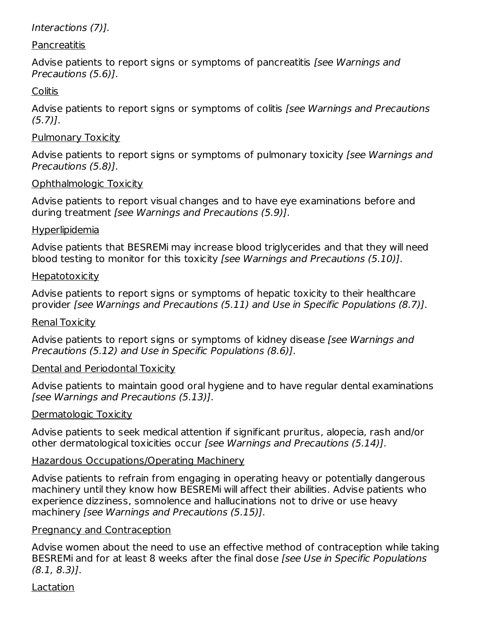### Interactions (7)].

### **Pancreatitis**

Advise patients to report signs or symptoms of pancreatitis *[see Warnings and* Precautions (5.6)].

### **Colitis**

Advise patients to report signs or symptoms of colitis [see Warnings and Precautions  $(5.7)$ ].

### Pulmonary Toxicity

Advise patients to report signs or symptoms of pulmonary toxicity (see Warnings and Precautions (5.8)].

### Ophthalmologic Toxicity

Advise patients to report visual changes and to have eye examinations before and during treatment [see Warnings and Precautions (5.9)].

### Hyperlipidemia

Advise patients that BESREMi may increase blood triglycerides and that they will need blood testing to monitor for this toxicity [see Warnings and Precautions (5.10)].

### **Hepatotoxicity**

Advise patients to report signs or symptoms of hepatic toxicity to their healthcare provider [see Warnings and Precautions (5.11) and Use in Specific Populations (8.7)].

### Renal Toxicity

Advise patients to report signs or symptoms of kidney disease (see Warnings and Precautions (5.12) and Use in Specific Populations (8.6)].

### Dental and Periodontal Toxicity

Advise patients to maintain good oral hygiene and to have regular dental examinations [see Warnings and Precautions (5.13)].

### Dermatologic Toxicity

Advise patients to seek medical attention if significant pruritus, alopecia, rash and/or other dermatological toxicities occur [see Warnings and Precautions (5.14)].

### Hazardous Occupations/Operating Machinery

Advise patients to refrain from engaging in operating heavy or potentially dangerous machinery until they know how BESREMi will affect their abilities. Advise patients who experience dizziness, somnolence and hallucinations not to drive or use heavy machinery [see Warnings and Precautions (5.15)].

### Pregnancy and Contraception

Advise women about the need to use an effective method of contraception while taking BESREMi and for at least 8 weeks after the final dose [see Use in Specific Populations (8.1, 8.3)].

### Lactation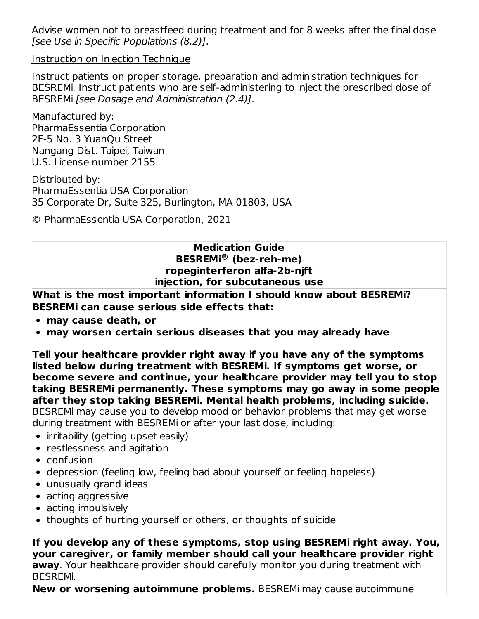Advise women not to breastfeed during treatment and for 8 weeks after the final dose [see Use in Specific Populations (8.2)].

Instruction on Injection Technique

Instruct patients on proper storage, preparation and administration techniques for BESREMi. Instruct patients who are self-administering to inject the prescribed dose of BESREMi [see Dosage and Administration (2.4)].

Manufactured by: PharmaEssentia Corporation 2F-5 No. 3 YuanQu Street Nangang Dist. Taipei, Taiwan U.S. License number 2155

Distributed by: PharmaEssentia USA Corporation 35 Corporate Dr, Suite 325, Burlington, MA 01803, USA

© PharmaEssentia USA Corporation, 2021

#### **Medication Guide BESREMi (bez-reh-me) ®ropeginterferon alfa-2b-njft injection, for subcutaneous use**

**What is the most important information I should know about BESREMi? BESREMi can cause serious side effects that:**

- **may cause death, or**
- **may worsen certain serious diseases that you may already have**

**Tell your healthcare provider right away if you have any of the symptoms listed below during treatment with BESREMi. If symptoms get worse, or become severe and continue, your healthcare provider may tell you to stop taking BESREMi permanently. These symptoms may go away in some people after they stop taking BESREMi. Mental health problems, including suicide.** BESREMi may cause you to develop mood or behavior problems that may get worse during treatment with BESREMi or after your last dose, including:

- irritability (getting upset easily)
- restlessness and agitation
- confusion
- depression (feeling low, feeling bad about yourself or feeling hopeless)
- unusually grand ideas
- acting aggressive
- acting impulsively
- thoughts of hurting yourself or others, or thoughts of suicide

**If you develop any of these symptoms, stop using BESREMi right away. You, your caregiver, or family member should call your healthcare provider right away**. Your healthcare provider should carefully monitor you during treatment with BESREMi.

**New or worsening autoimmune problems.** BESREMi may cause autoimmune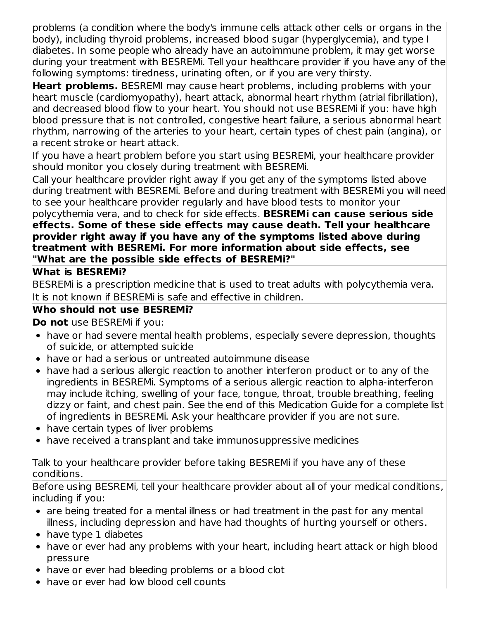problems (a condition where the body's immune cells attack other cells or organs in the body), including thyroid problems, increased blood sugar (hyperglycemia), and type I diabetes. In some people who already have an autoimmune problem, it may get worse during your treatment with BESREMi. Tell your healthcare provider if you have any of the following symptoms: tiredness, urinating often, or if you are very thirsty.

**Heart problems.** BESREMI may cause heart problems, including problems with your heart muscle (cardiomyopathy), heart attack, abnormal heart rhythm (atrial fibrillation), and decreased blood flow to your heart. You should not use BESREMi if you: have high blood pressure that is not controlled, congestive heart failure, a serious abnormal heart rhythm, narrowing of the arteries to your heart, certain types of chest pain (angina), or a recent stroke or heart attack.

If you have a heart problem before you start using BESREMi, your healthcare provider should monitor you closely during treatment with BESREMi.

Call your healthcare provider right away if you get any of the symptoms listed above during treatment with BESREMi. Before and during treatment with BESREMi you will need to see your healthcare provider regularly and have blood tests to monitor your

polycythemia vera, and to check for side effects. **BESREMi can cause serious side effects. Some of these side effects may cause death. Tell your healthcare provider right away if you have any of the symptoms listed above during treatment with BESREMi. For more information about side effects, see "What are the possible side effects of BESREMi?"**

### **What is BESREMi?**

BESREMi is a prescription medicine that is used to treat adults with polycythemia vera. It is not known if BESREMi is safe and effective in children.

### **Who should not use BESREMi?**

**Do not** use BESREMi if you:

- have or had severe mental health problems, especially severe depression, thoughts of suicide, or attempted suicide
- have or had a serious or untreated autoimmune disease
- have had a serious allergic reaction to another interferon product or to any of the ingredients in BESREMi. Symptoms of a serious allergic reaction to alpha-interferon may include itching, swelling of your face, tongue, throat, trouble breathing, feeling dizzy or faint, and chest pain. See the end of this Medication Guide for a complete list of ingredients in BESREMi. Ask your healthcare provider if you are not sure.
- have certain types of liver problems
- have received a transplant and take immunosuppressive medicines

Talk to your healthcare provider before taking BESREMi if you have any of these conditions.

Before using BESREMi, tell your healthcare provider about all of your medical conditions, including if you:

- are being treated for a mental illness or had treatment in the past for any mental illness, including depression and have had thoughts of hurting yourself or others.
- have type 1 diabetes
- have or ever had any problems with your heart, including heart attack or high blood pressure
- have or ever had bleeding problems or a blood clot
- have or ever had low blood cell counts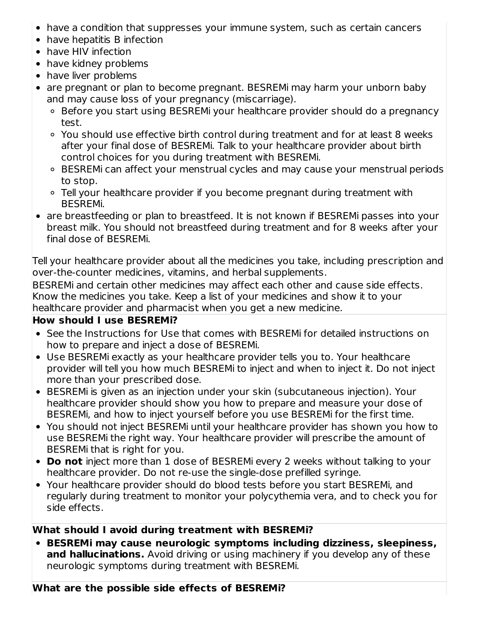- have a condition that suppresses your immune system, such as certain cancers
- have hepatitis B infection
- have HIV infection
- have kidney problems
- have liver problems
- are pregnant or plan to become pregnant. BESREMi may harm your unborn baby and may cause loss of your pregnancy (miscarriage).
	- Before you start using BESREMi your healthcare provider should do a pregnancy test.
	- You should use effective birth control during treatment and for at least 8 weeks after your final dose of BESREMi. Talk to your healthcare provider about birth control choices for you during treatment with BESREMi.
	- BESREMi can affect your menstrual cycles and may cause your menstrual periods to stop.
	- Tell your healthcare provider if you become pregnant during treatment with BESREMi.
- are breastfeeding or plan to breastfeed. It is not known if BESREMi passes into your breast milk. You should not breastfeed during treatment and for 8 weeks after your final dose of BESREMi.

Tell your healthcare provider about all the medicines you take, including prescription and over-the-counter medicines, vitamins, and herbal supplements.

BESREMi and certain other medicines may affect each other and cause side effects. Know the medicines you take. Keep a list of your medicines and show it to your healthcare provider and pharmacist when you get a new medicine.

# **How should I use BESREMi?**

- See the Instructions for Use that comes with BESREMi for detailed instructions on how to prepare and inject a dose of BESREMi.
- Use BESREMi exactly as your healthcare provider tells you to. Your healthcare provider will tell you how much BESREMi to inject and when to inject it. Do not inject more than your prescribed dose.
- BESREMi is given as an injection under your skin (subcutaneous injection). Your healthcare provider should show you how to prepare and measure your dose of BESREMi, and how to inject yourself before you use BESREMi for the first time.
- You should not inject BESREMi until your healthcare provider has shown you how to use BESREMi the right way. Your healthcare provider will prescribe the amount of BESREMi that is right for you.
- **Do not** inject more than 1 dose of BESREMi every 2 weeks without talking to your healthcare provider. Do not re-use the single-dose prefilled syringe.
- Your healthcare provider should do blood tests before you start BESREMi, and regularly during treatment to monitor your polycythemia vera, and to check you for side effects.

### **What should I avoid during treatment with BESREMi?**

**BESREMi may cause neurologic symptoms including dizziness, sleepiness, and hallucinations.** Avoid driving or using machinery if you develop any of these neurologic symptoms during treatment with BESREMi.

### **What are the possible side effects of BESREMi?**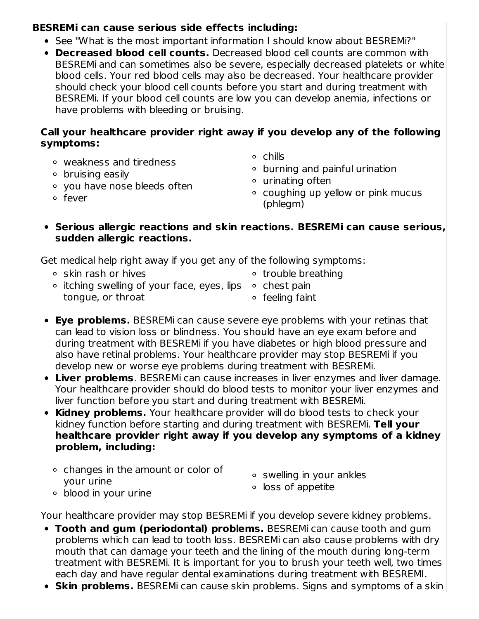### **BESREMi can cause serious side effects including:**

- See "What is the most important information I should know about BESREMi?"
- **Decreased blood cell counts.** Decreased blood cell counts are common with BESREMi and can sometimes also be severe, especially decreased platelets or white blood cells. Your red blood cells may also be decreased. Your healthcare provider should check your blood cell counts before you start and during treatment with BESREMi. If your blood cell counts are low you can develop anemia, infections or have problems with bleeding or bruising.

### **Call your healthcare provider right away if you develop any of the following symptoms:**

- weakness and tiredness
- $\circ$  bruising easily
- you have nose bleeds often
- o fever
- chills
- burning and painful urination
- urinating often
- coughing up yellow or pink mucus (phlegm)
- **Serious allergic reactions and skin reactions. BESREMi can cause serious, sudden allergic reactions.**

Get medical help right away if you get any of the following symptoms:

- skin rash or hives trouble breathing
- itching swelling of your face, eyes, lips  $\circ$  chest pain tongue, or throat
- - feeling faint
- **Eye problems.** BESREMi can cause severe eye problems with your retinas that can lead to vision loss or blindness. You should have an eye exam before and during treatment with BESREMi if you have diabetes or high blood pressure and also have retinal problems. Your healthcare provider may stop BESREMi if you develop new or worse eye problems during treatment with BESREMi.
- **Liver problems**. BESREMi can cause increases in liver enzymes and liver damage. Your healthcare provider should do blood tests to monitor your liver enzymes and liver function before you start and during treatment with BESREMi.
- **Kidney problems.** Your healthcare provider will do blood tests to check your kidney function before starting and during treatment with BESREMi. **Tell your healthcare provider right away if you develop any symptoms of a kidney problem, including:**
	- <sup>o</sup> changes in the amount or color of your urine
- swelling in your ankles
- loss of appetite

blood in your urine

Your healthcare provider may stop BESREMi if you develop severe kidney problems.

- **Tooth and gum (periodontal) problems.** BESREMi can cause tooth and gum problems which can lead to tooth loss. BESREMi can also cause problems with dry mouth that can damage your teeth and the lining of the mouth during long-term treatment with BESREMi. It is important for you to brush your teeth well, two times each day and have regular dental examinations during treatment with BESREMI.
- **Skin problems.** BESREMi can cause skin problems. Signs and symptoms of a skin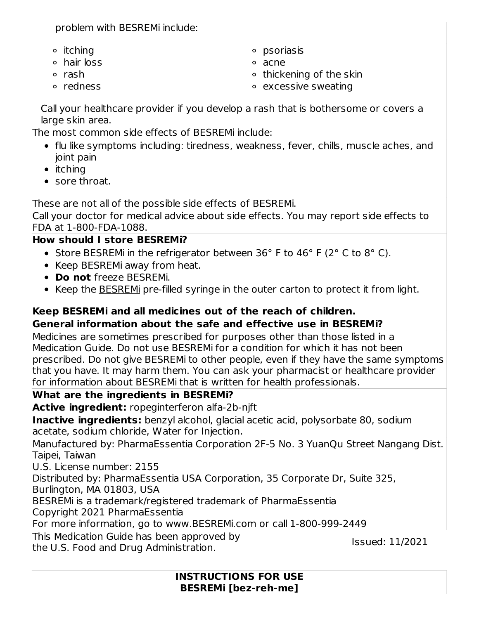problem with BESREMi include:

- $\circ$  itching
- hair loss
- rash
- o redness

psoriasis

- acne
- $\circ$  thickening of the skin
- excessive sweating

Call your healthcare provider if you develop a rash that is bothersome or covers a large skin area.

The most common side effects of BESREMi include:

- flu like symptoms including: tiredness, weakness, fever, chills, muscle aches, and joint pain
- $\bullet$  itching
- sore throat.

These are not all of the possible side effects of BESREMi.

Call your doctor for medical advice about side effects. You may report side effects to FDA at 1-800-FDA-1088.

# **How should I store BESREMi?**

- Store BESREMi in the refrigerator between 36 $\degree$  F to 46 $\degree$  F (2 $\degree$  C to 8 $\degree$  C).
- Keep BESREMi away from heat.
- **Do not** freeze BESREMi.
- Keep the BESREMi pre-filled syringe in the outer carton to protect it from light.

# **Keep BESREMi and all medicines out of the reach of children.**

# **General information about the safe and effective use in BESREMi?**

Medicines are sometimes prescribed for purposes other than those listed in a Medication Guide. Do not use BESREMi for a condition for which it has not been prescribed. Do not give BESREMi to other people, even if they have the same symptoms that you have. It may harm them. You can ask your pharmacist or healthcare provider for information about BESREMi that is written for health professionals.

# **What are the ingredients in BESREMi?**

**Active ingredient:** ropeginterferon alfa-2b-njft

**Inactive ingredients:** benzyl alcohol, glacial acetic acid, polysorbate 80, sodium acetate, sodium chloride, Water for Injection.

Manufactured by: PharmaEssentia Corporation 2F-5 No. 3 YuanQu Street Nangang Dist. Taipei, Taiwan

U.S. License number: 2155

Distributed by: PharmaEssentia USA Corporation, 35 Corporate Dr, Suite 325,

Burlington, MA 01803, USA

BESREMi is a trademark/registered trademark of PharmaEssentia

Copyright 2021 PharmaEssentia

For more information, go to www.BESREMi.com or call 1-800-999-2449

This Medication Guide has been approved by

the U.S. Food and Drug Administration.

Issued: 11/2021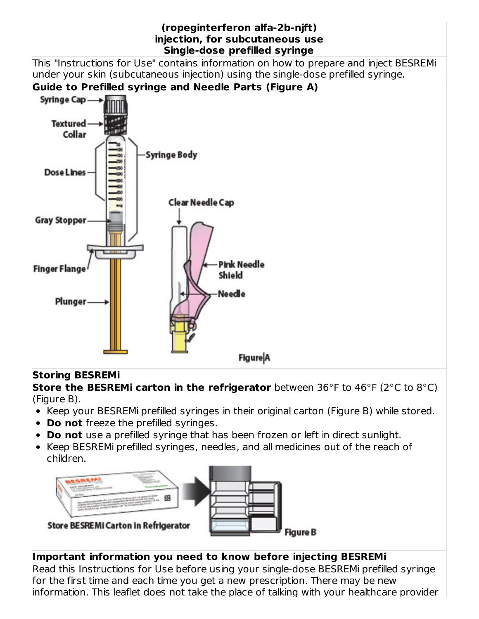

# **Storing BESREMi**

**Store the BESREMi carton in the refrigerator** between 36°F to 46°F (2°C to 8°C) (Figure B).

- Keep your BESREMi prefilled syringes in their original carton (Figure B) while stored.
- **Do not** freeze the prefilled syringes.
- **Do not** use a prefilled syringe that has been frozen or left in direct sunlight.
- Keep BESREMi prefilled syringes, needles, and all medicines out of the reach of children.



# **Important information you need to know before injecting BESREMi**

Read this Instructions for Use before using your single-dose BESREMi prefilled syringe for the first time and each time you get a new prescription. There may be new information. This leaflet does not take the place of talking with your healthcare provider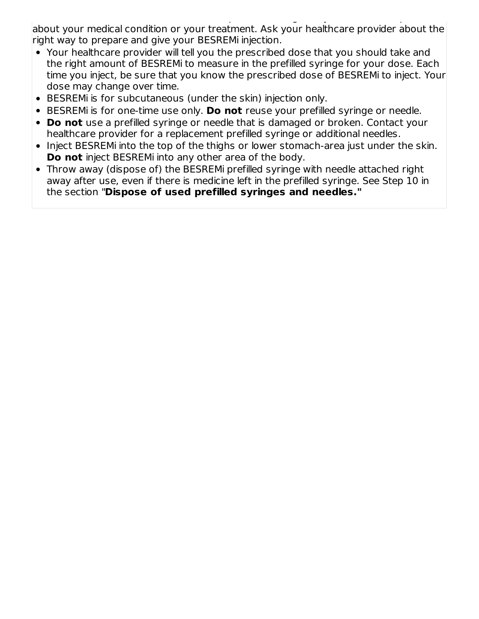information. This leaflet does not take the place of talking with your healthcare provider about your medical condition or your treatment. Ask your healthcare provider about the right way to prepare and give your BESREMi injection.

- Your healthcare provider will tell you the prescribed dose that you should take and the right amount of BESREMi to measure in the prefilled syringe for your dose. Each time you inject, be sure that you know the prescribed dose of BESREMi to inject. Your dose may change over time.
- BESREMi is for subcutaneous (under the skin) injection only.
- BESREMi is for one-time use only. **Do not** reuse your prefilled syringe or needle.
- **Do not** use a prefilled syringe or needle that is damaged or broken. Contact your healthcare provider for a replacement prefilled syringe or additional needles.
- Inject BESREMi into the top of the thighs or lower stomach-area just under the skin. **Do not** inject BESREMi into any other area of the body.
- Throw away (dispose of) the BESREMi prefilled syringe with needle attached right away after use, even if there is medicine left in the prefilled syringe. See Step 10 in the section "**Dispose of used prefilled syringes and needles."**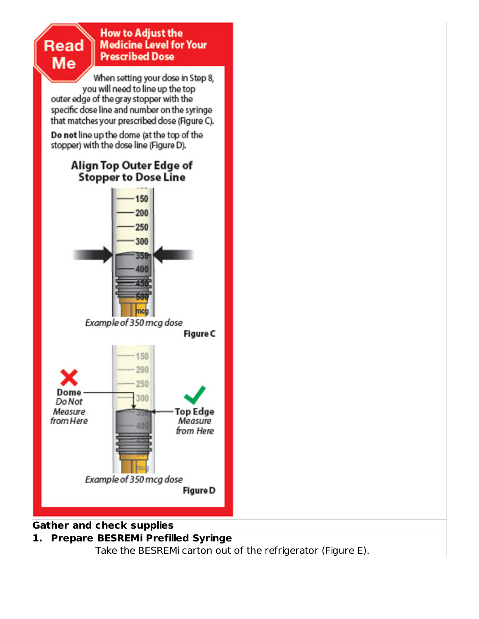

**1. Prepare BESREMi Prefilled Syringe** Take the BESREMi carton out of the refrigerator (Figure E).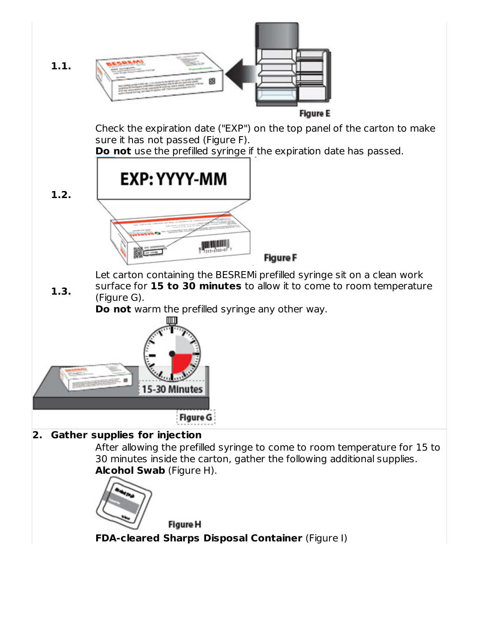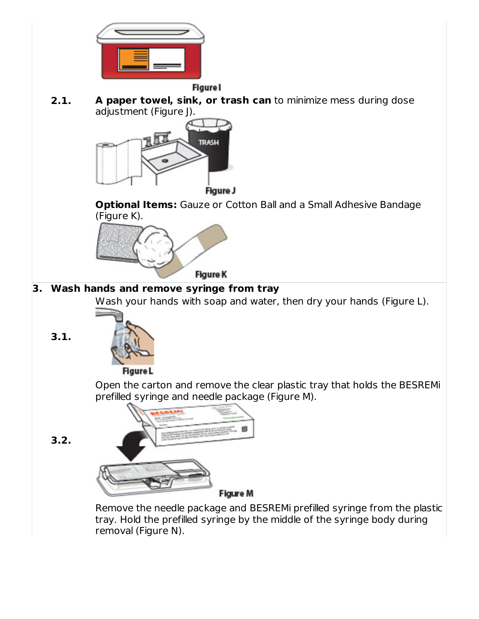

**2.1. A paper towel, sink, or trash can** to minimize mess during dose adjustment (Figure J).



Figure J

**Optional Items:** Gauze or Cotton Ball and a Small Adhesive Bandage (Figure K).



# **3. Wash hands and remove syringe from tray**

Wash your hands with soap and water, then dry your hands (Figure L).



**3.1.**

**3.2.**

Open the carton and remove the clear plastic tray that holds the BESREMi prefilled syringe and needle package (Figure M).



Remove the needle package and BESREMi prefilled syringe from the plastic tray. Hold the prefilled syringe by the middle of the syringe body during removal (Figure N).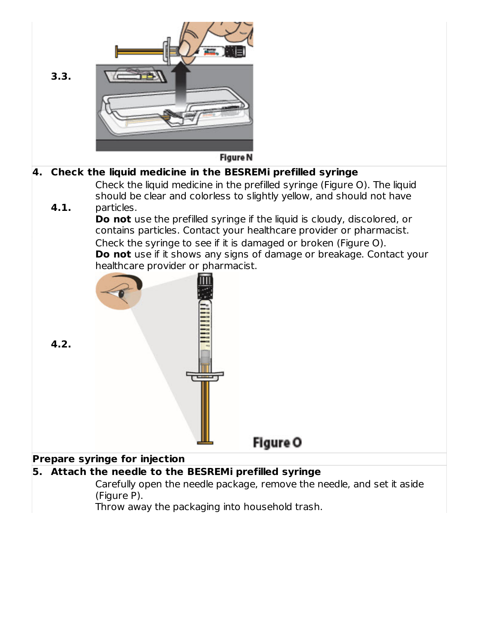

### **5. Attach the needle to the BESREMi prefilled syringe**

Carefully open the needle package, remove the needle, and set it aside (Figure P).

Throw away the packaging into household trash.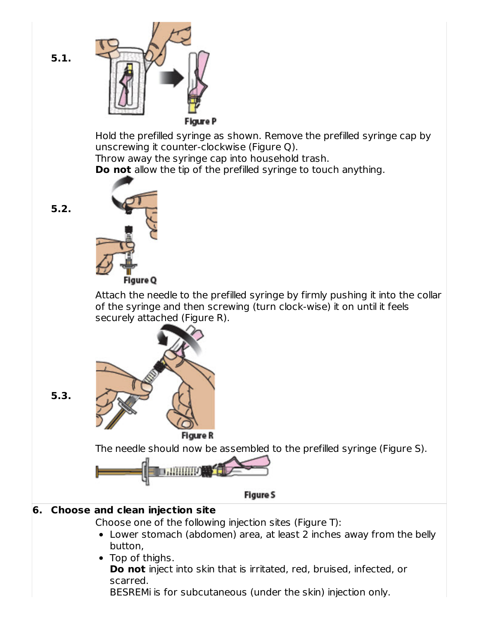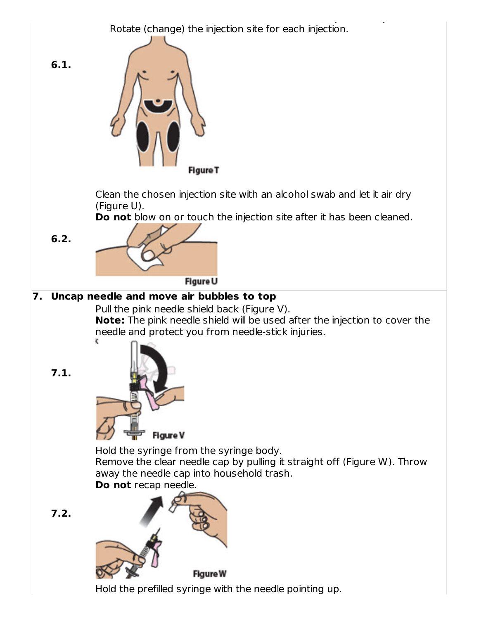BESREMi is for subcutaneous (under the skin) injection only. Rotate (change) the injection site for each injection.



Hold the prefilled syringe with the needle pointing up.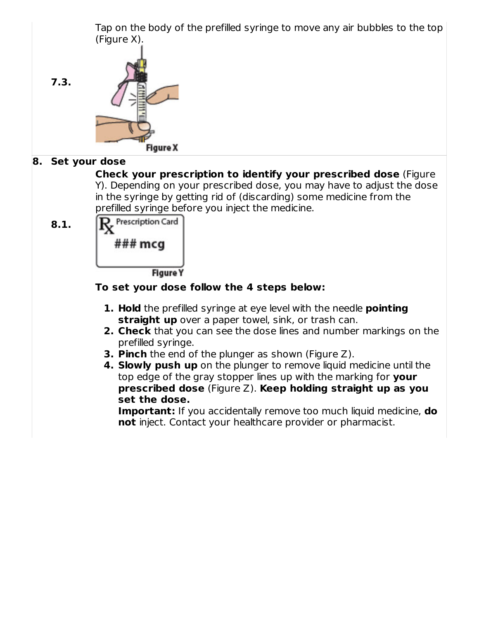

- **3. Pinch** the end of the plunger as shown (Figure Z).
- **4. Slowly push up** on the plunger to remove liquid medicine until the top edge of the gray stopper lines up with the marking for **your prescribed dose** (Figure Z). **Keep holding straight up as you set the dose.**

**Important:** If you accidentally remove too much liquid medicine, **do not** inject. Contact your healthcare provider or pharmacist.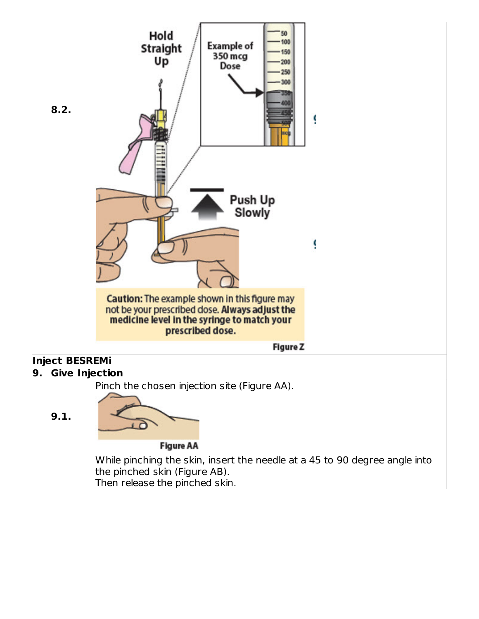

While pinching the skin, insert the needle at a 45 to 90 degree angle into the pinched skin (Figure AB). Then release the pinched skin.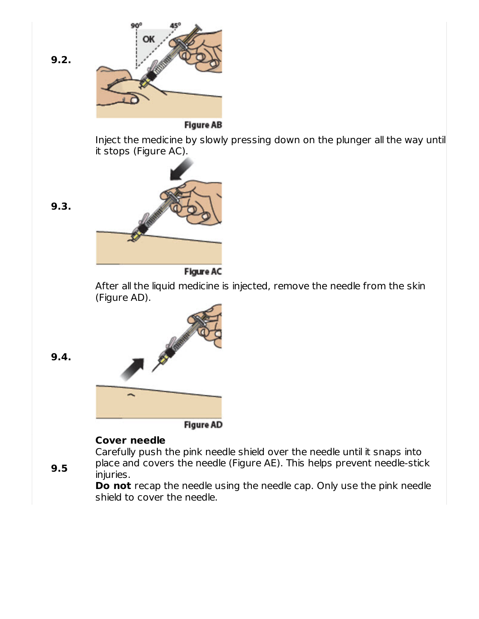

**Do not** recap the needle using the needle cap. Only use the pink needle shield to cover the needle.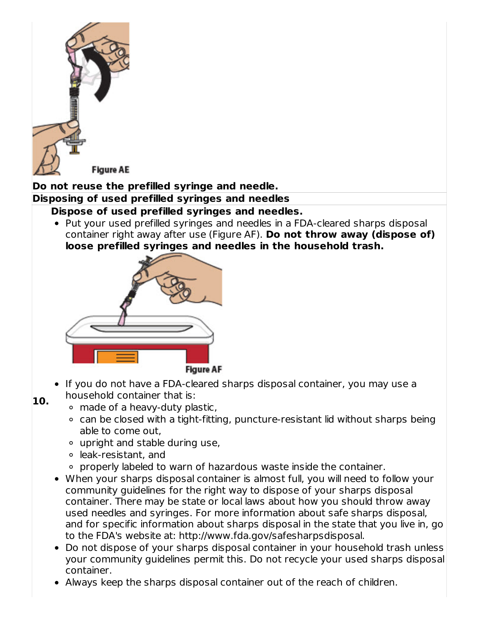

# **Do not reuse the prefilled syringe and needle.**

# **Disposing of used prefilled syringes and needles**

### **Dispose of used prefilled syringes and needles.**

• Put your used prefilled syringes and needles in a FDA-cleared sharps disposal container right away after use (Figure AF). **Do not throw away (dispose of) loose prefilled syringes and needles in the household trash.**



- **10.** • If you do not have a FDA-cleared sharps disposal container, you may use a household container that is:
	- made of a heavy-duty plastic,
		- can be closed with a tight-fitting, puncture-resistant lid without sharps being able to come out,
		- upright and stable during use,
		- leak-resistant, and
		- properly labeled to warn of hazardous waste inside the container.
	- When your sharps disposal container is almost full, you will need to follow your community guidelines for the right way to dispose of your sharps disposal container. There may be state or local laws about how you should throw away used needles and syringes. For more information about safe sharps disposal, and for specific information about sharps disposal in the state that you live in, go to the FDA's website at: http://www.fda.gov/safesharpsdisposal.
	- Do not dispose of your sharps disposal container in your household trash unless your community guidelines permit this. Do not recycle your used sharps disposal container.
	- Always keep the sharps disposal container out of the reach of children.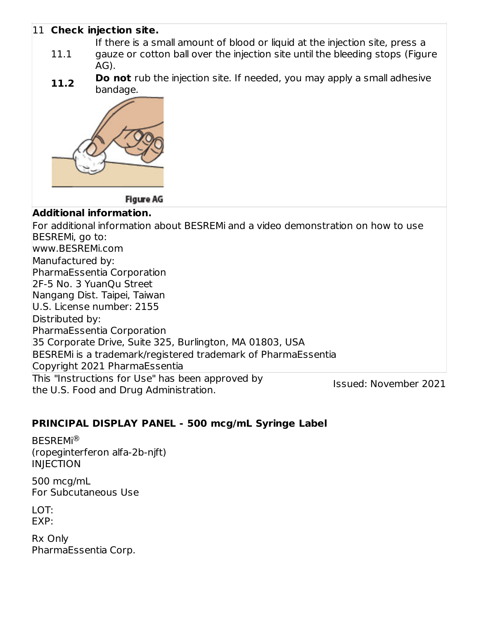### 11 **Check injection site.**

If there is a small amount of blood or liquid at the injection site, press a

- 11.1 gauze or cotton ball over the injection site until the bleeding stops (Figure AG).
- **11.2 Do not** rub the injection site. If needed, you may apply a small adhesive bandage.



**Figure AG** 

### **Additional information.**

This "Instructions for Use" has been approved by the U.S. Food and Drug Administration. Issued: November 2021 For additional information about BESREMi and a video demonstration on how to use BESREMi, go to: www.BESREMi.com Manufactured by: PharmaEssentia Corporation 2F-5 No. 3 YuanQu Street Nangang Dist. Taipei, Taiwan U.S. License number: 2155 Distributed by: PharmaEssentia Corporation 35 Corporate Drive, Suite 325, Burlington, MA 01803, USA BESREMi is a trademark/registered trademark of PharmaEssentia Copyright 2021 PharmaEssentia

# **PRINCIPAL DISPLAY PANEL - 500 mcg/mL Syringe Label**

BESREMi ®(ropeginterferon alfa-2b-njft) INJECTION

500 mcg/mL For Subcutaneous Use

LOT: EXP:

Rx Only PharmaEssentia Corp.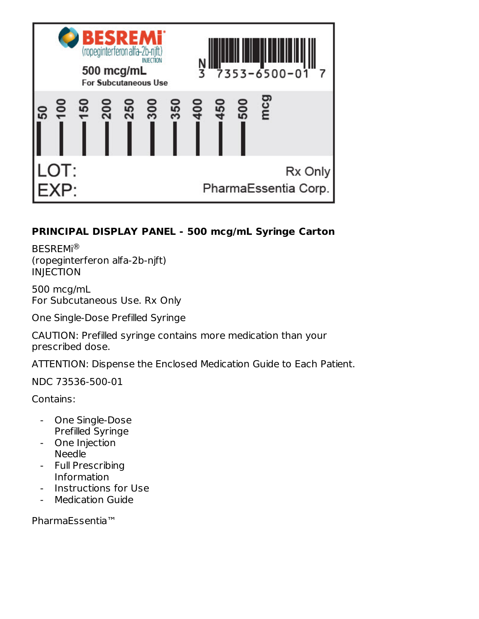

# **PRINCIPAL DISPLAY PANEL - 500 mcg/mL Syringe Carton**

BESREMi ® (ropeginterferon alfa-2b-njft) INJECTION

500 mcg/mL For Subcutaneous Use. Rx Only

One Single-Dose Prefilled Syringe

CAUTION: Prefilled syringe contains more medication than your prescribed dose.

ATTENTION: Dispense the Enclosed Medication Guide to Each Patient.

NDC 73536-500-01

Contains:

- One Single-Dose Prefilled Syringe
- One Injection Needle
- Full Prescribing Information
- Instructions for Use
- Medication Guide

PharmaEssentia™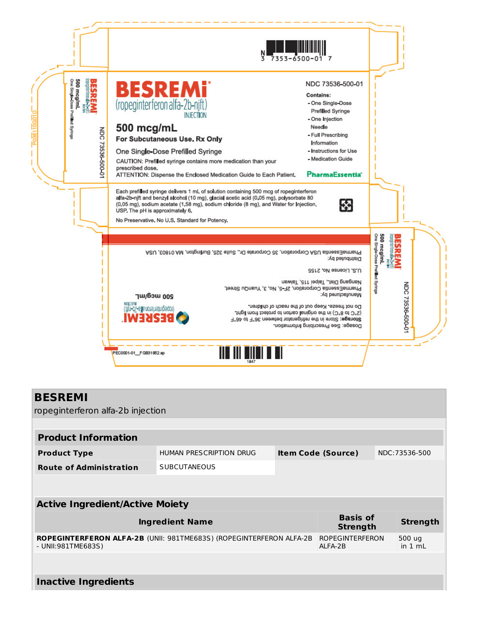

#### **BESREMI**

ropeginterferon alfa-2b injection

| <b>Product Information</b>                                                                       |                         |  |                                   |  |                   |  |
|--------------------------------------------------------------------------------------------------|-------------------------|--|-----------------------------------|--|-------------------|--|
| <b>Product Type</b>                                                                              | HUMAN PRESCRIPTION DRUG |  | <b>Item Code (Source)</b>         |  | NDC: 73536-500    |  |
| <b>Route of Administration</b>                                                                   | <b>SUBCUTANEOUS</b>     |  |                                   |  |                   |  |
|                                                                                                  |                         |  |                                   |  |                   |  |
| <b>Active Ingredient/Active Moiety</b>                                                           |                         |  |                                   |  |                   |  |
|                                                                                                  |                         |  |                                   |  |                   |  |
| <b>Basis of</b><br><b>Ingredient Name</b><br><b>Strength</b><br><b>Strength</b>                  |                         |  |                                   |  |                   |  |
| <b>ROPEGINTERFERON ALFA-2B (UNII: 981TME683S) (ROPEGINTERFERON ALFA-2B</b><br>- UNII:981TME683S) |                         |  | <b>ROPEGINTERFERON</b><br>ALFA-2B |  | 500 ug<br>in 1 mL |  |
|                                                                                                  |                         |  |                                   |  |                   |  |
| <b>Inactive Ingredients</b>                                                                      |                         |  |                                   |  |                   |  |